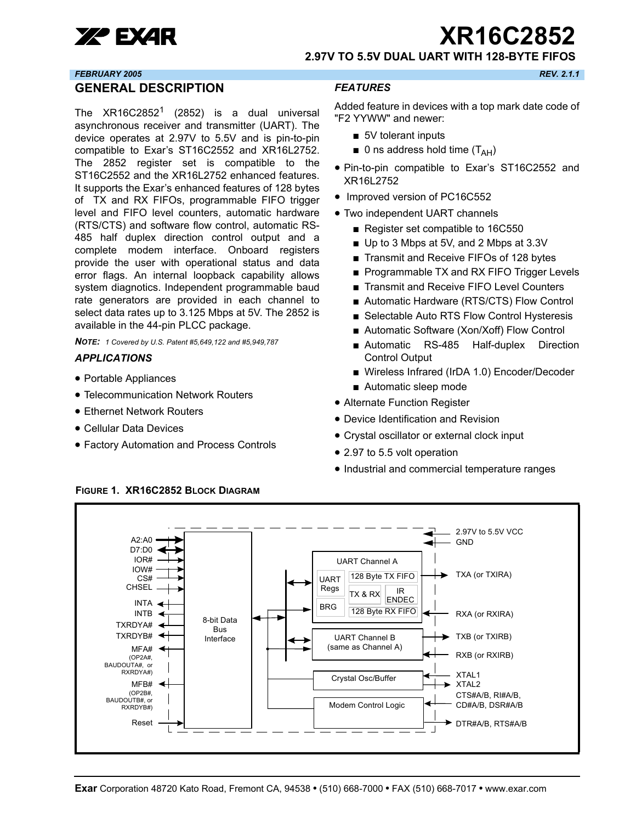

xr **XR16C2852**

**2.97V TO 5.5V DUAL UART WITH 128-BYTE FIFOS**

#### *FEBRUARY 2005 REV. 2.1.1*

#### <span id="page-0-0"></span>**GENERAL DESCRIPTION**

The  $XR16C2852<sup>1</sup>$  (2852) is a dual universal asynchronous receiver and transmitter (UART). The device operates at 2.97V to 5.5V and is pin-to-pin compatible to Exar's ST16C2552 and XR16L2752. The 2852 register set is compatible to the ST16C2552 and the XR16L2752 enhanced features. It supports the Exar's enhanced features of 128 bytes of TX and RX FIFOs, programmable FIFO trigger level and FIFO level counters, automatic hardware (RTS/CTS) and software flow control, automatic RS-485 half duplex direction control output and a complete modem interface. Onboard registers provide the user with operational status and data error flags. An internal loopback capability allows system diagnotics. Independent programmable baud rate generators are provided in each channel to select data rates up to 3.125 Mbps at 5V. The 2852 is available in the 44-pin PLCC package.

*NOTE: 1 Covered by U.S. Patent #5,649,122 and #5,949,787* 

#### <span id="page-0-1"></span>*APPLICATIONS*

- Portable Appliances
- Telecommunication Network Routers
- Ethernet Network Routers
- Cellular Data Devices
- Factory Automation and Process Controls

#### <span id="page-0-2"></span>*FEATURES*

Added feature in devices with a top mark date code of "F2 YYWW" and newer:

- 5V tolerant inputs
- $\blacksquare$  0 ns address hold time ( $T_{\text{AH}}$ )
- Pin-to-pin compatible to Exar's ST16C2552 and XR16L2752
- Improved version of PC16C552
- Two independent UART channels
	- Register set compatible to 16C550
	- Up to 3 Mbps at 5V, and 2 Mbps at 3.3V
	- Transmit and Receive FIFOs of 128 bytes
	- Programmable TX and RX FIFO Trigger Levels
	- Transmit and Receive FIFO Level Counters
	- Automatic Hardware (RTS/CTS) Flow Control
	- Selectable Auto RTS Flow Control Hysteresis
	- Automatic Software (Xon/Xoff) Flow Control
	- Automatic RS-485 Half-duplex Direction Control Output
	- Wireless Infrared (IrDA 1.0) Encoder/Decoder
	- Automatic sleep mode
- Alternate Function Register
- Device Identification and Revision
- Crystal oscillator or external clock input
- 2.97 to 5.5 volt operation
- Industrial and commercial temperature ranges



#### <span id="page-0-3"></span>**FIGURE 1. XR16C2852 BLOCK DIAGRAM**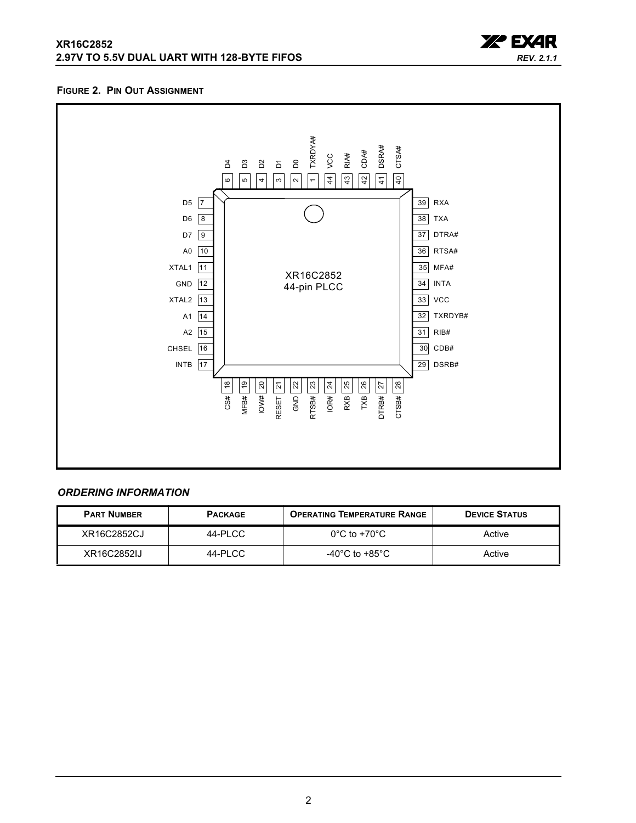



#### <span id="page-1-0"></span>**FIGURE 2. PIN OUT ASSIGNMENT**



## <span id="page-1-1"></span>*ORDERING INFORMATION*

| <b>PART NUMBER</b> | <b>PACKAGE</b> | <b>OPERATING TEMPERATURE RANGE</b>   | <b>DEVICE STATUS</b> |
|--------------------|----------------|--------------------------------------|----------------------|
| XR16C2852CJ        | 44-PLCC        | $0^{\circ}$ C to +70 $^{\circ}$ C    | Active               |
| XR16C2852IJ        | 44-PLCC        | -40 $^{\circ}$ C to +85 $^{\circ}$ C | Active               |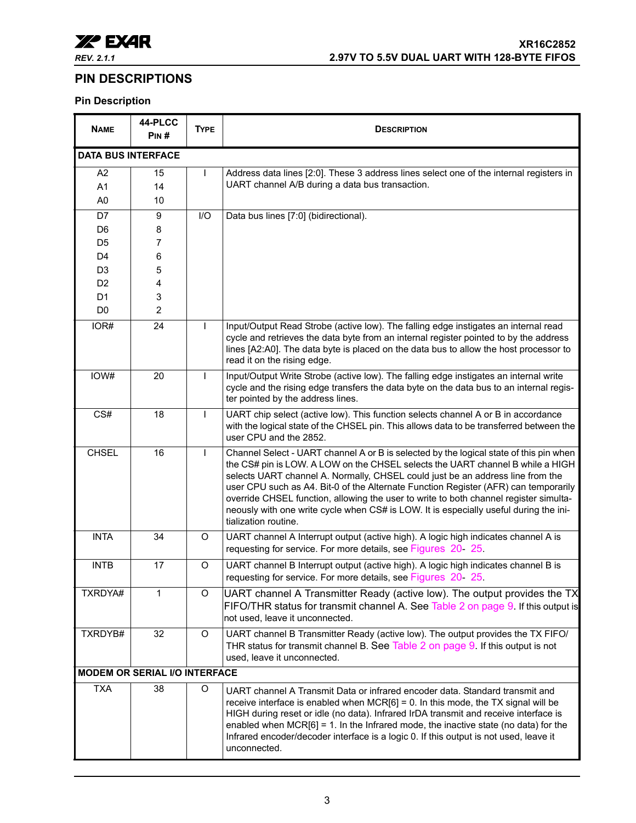

## <span id="page-2-0"></span>**PIN DESCRIPTIONS**

## **Pin Description**

| <b>NAME</b>               | 44-PLCC<br>PIN#                      | <b>TYPE</b>  | <b>DESCRIPTION</b>                                                                                                                                                                                                                                                                                                                                                                                                                                                                                                                                          |
|---------------------------|--------------------------------------|--------------|-------------------------------------------------------------------------------------------------------------------------------------------------------------------------------------------------------------------------------------------------------------------------------------------------------------------------------------------------------------------------------------------------------------------------------------------------------------------------------------------------------------------------------------------------------------|
| <b>DATA BUS INTERFACE</b> |                                      |              |                                                                                                                                                                                                                                                                                                                                                                                                                                                                                                                                                             |
| A <sub>2</sub>            | 15                                   | $\mathbf{I}$ | Address data lines [2:0]. These 3 address lines select one of the internal registers in                                                                                                                                                                                                                                                                                                                                                                                                                                                                     |
| A <sub>1</sub>            | 14                                   |              | UART channel A/B during a data bus transaction.                                                                                                                                                                                                                                                                                                                                                                                                                                                                                                             |
| A <sub>0</sub>            | 10                                   |              |                                                                                                                                                                                                                                                                                                                                                                                                                                                                                                                                                             |
| D7                        | 9                                    | I/O          | Data bus lines [7:0] (bidirectional).                                                                                                                                                                                                                                                                                                                                                                                                                                                                                                                       |
| D <sub>6</sub>            | 8                                    |              |                                                                                                                                                                                                                                                                                                                                                                                                                                                                                                                                                             |
| D <sub>5</sub>            | 7                                    |              |                                                                                                                                                                                                                                                                                                                                                                                                                                                                                                                                                             |
| D <sub>4</sub>            | 6                                    |              |                                                                                                                                                                                                                                                                                                                                                                                                                                                                                                                                                             |
| D <sub>3</sub>            | 5                                    |              |                                                                                                                                                                                                                                                                                                                                                                                                                                                                                                                                                             |
| D <sub>2</sub>            | 4                                    |              |                                                                                                                                                                                                                                                                                                                                                                                                                                                                                                                                                             |
| D <sub>1</sub>            | 3                                    |              |                                                                                                                                                                                                                                                                                                                                                                                                                                                                                                                                                             |
| D <sub>0</sub>            | $\overline{2}$                       |              |                                                                                                                                                                                                                                                                                                                                                                                                                                                                                                                                                             |
| IOR#                      | 24                                   | $\mathsf{L}$ | Input/Output Read Strobe (active low). The falling edge instigates an internal read                                                                                                                                                                                                                                                                                                                                                                                                                                                                         |
|                           |                                      |              | cycle and retrieves the data byte from an internal register pointed to by the address<br>lines [A2:A0]. The data byte is placed on the data bus to allow the host processor to<br>read it on the rising edge.                                                                                                                                                                                                                                                                                                                                               |
| IOW#                      | 20                                   | $\mathsf{L}$ | Input/Output Write Strobe (active low). The falling edge instigates an internal write<br>cycle and the rising edge transfers the data byte on the data bus to an internal regis-<br>ter pointed by the address lines.                                                                                                                                                                                                                                                                                                                                       |
| CS#                       | 18                                   | $\mathsf{I}$ | UART chip select (active low). This function selects channel A or B in accordance<br>with the logical state of the CHSEL pin. This allows data to be transferred between the<br>user CPU and the 2852.                                                                                                                                                                                                                                                                                                                                                      |
| <b>CHSEL</b>              | 16                                   | $\mathbf{I}$ | Channel Select - UART channel A or B is selected by the logical state of this pin when<br>the CS# pin is LOW. A LOW on the CHSEL selects the UART channel B while a HIGH<br>selects UART channel A. Normally, CHSEL could just be an address line from the<br>user CPU such as A4. Bit-0 of the Alternate Function Register (AFR) can temporarily<br>override CHSEL function, allowing the user to write to both channel register simulta-<br>neously with one write cycle when CS# is LOW. It is especially useful during the ini-<br>tialization routine. |
| <b>INTA</b>               | 34                                   | O            | UART channel A Interrupt output (active high). A logic high indicates channel A is<br>requesting for service. For more details, see Figures 20 25.                                                                                                                                                                                                                                                                                                                                                                                                          |
| <b>INTB</b>               | 17                                   | O            | UART channel B Interrupt output (active high). A logic high indicates channel B is<br>requesting for service. For more details, see Figures 20 25.                                                                                                                                                                                                                                                                                                                                                                                                          |
| TXRDYA#                   | 1                                    | O            | UART channel A Transmitter Ready (active low). The output provides the TX<br>FIFO/THR status for transmit channel A. See Table 2 on page 9. If this output is<br>not used, leave it unconnected.                                                                                                                                                                                                                                                                                                                                                            |
| TXRDYB#                   | 32                                   | O            | UART channel B Transmitter Ready (active low). The output provides the TX FIFO/<br>THR status for transmit channel B. See Table 2 on page 9. If this output is not<br>used, leave it unconnected.                                                                                                                                                                                                                                                                                                                                                           |
|                           | <b>MODEM OR SERIAL I/O INTERFACE</b> |              |                                                                                                                                                                                                                                                                                                                                                                                                                                                                                                                                                             |
| <b>TXA</b>                | 38                                   | O            | UART channel A Transmit Data or infrared encoder data. Standard transmit and<br>receive interface is enabled when $MCR[6] = 0$ . In this mode, the TX signal will be<br>HIGH during reset or idle (no data). Infrared IrDA transmit and receive interface is<br>enabled when $MCR[6] = 1$ . In the Infrared mode, the inactive state (no data) for the<br>Infrared encoder/decoder interface is a logic 0. If this output is not used, leave it<br>unconnected.                                                                                             |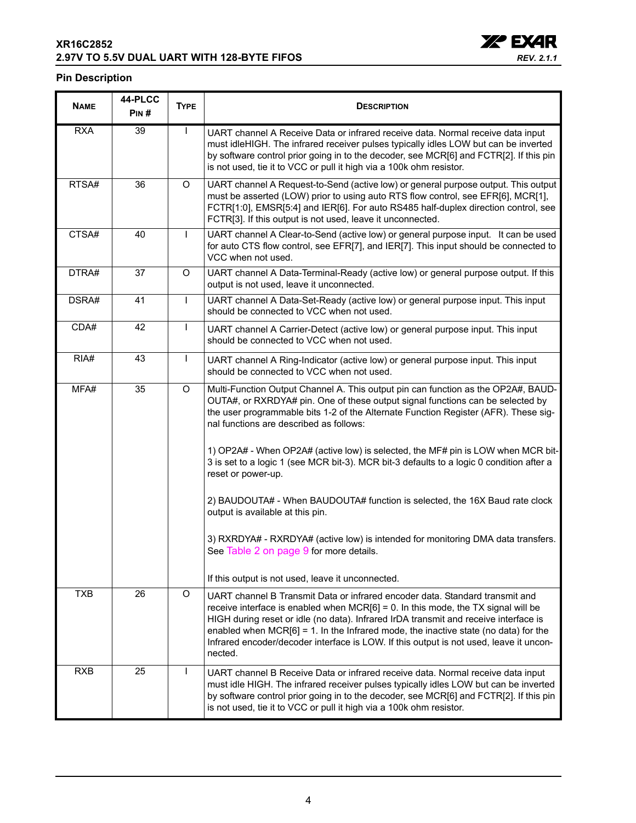## **XR16C2852 2.97V TO 5.5V DUAL UART WITH 128-BYTE FIFOS**



## **Pin Description**

| <b>NAME</b> | 44-PLCC<br>PIN# | <b>TYPE</b>  | <b>DESCRIPTION</b>                                                                                                                                                                                                                                                                                                                                                                                                                                          |
|-------------|-----------------|--------------|-------------------------------------------------------------------------------------------------------------------------------------------------------------------------------------------------------------------------------------------------------------------------------------------------------------------------------------------------------------------------------------------------------------------------------------------------------------|
| <b>RXA</b>  | 39              | $\mathbf{I}$ | UART channel A Receive Data or infrared receive data. Normal receive data input<br>must idleHIGH. The infrared receiver pulses typically idles LOW but can be inverted<br>by software control prior going in to the decoder, see MCR[6] and FCTR[2]. If this pin<br>is not used, tie it to VCC or pull it high via a 100k ohm resistor.                                                                                                                     |
| RTSA#       | 36              | $\circ$      | UART channel A Request-to-Send (active low) or general purpose output. This output<br>must be asserted (LOW) prior to using auto RTS flow control, see EFR[6], MCR[1],<br>FCTR[1:0], EMSR[5:4] and IER[6]. For auto RS485 half-duplex direction control, see<br>FCTR[3]. If this output is not used, leave it unconnected.                                                                                                                                  |
| CTSA#       | 40              | $\mathbf{I}$ | UART channel A Clear-to-Send (active low) or general purpose input. It can be used<br>for auto CTS flow control, see EFR[7], and IER[7]. This input should be connected to<br>VCC when not used.                                                                                                                                                                                                                                                            |
| DTRA#       | 37              | $\circ$      | UART channel A Data-Terminal-Ready (active low) or general purpose output. If this<br>output is not used, leave it unconnected.                                                                                                                                                                                                                                                                                                                             |
| DSRA#       | 41              | $\mathbf{I}$ | UART channel A Data-Set-Ready (active low) or general purpose input. This input<br>should be connected to VCC when not used.                                                                                                                                                                                                                                                                                                                                |
| CDA#        | 42              | $\mathsf{I}$ | UART channel A Carrier-Detect (active low) or general purpose input. This input<br>should be connected to VCC when not used.                                                                                                                                                                                                                                                                                                                                |
| RIA#        | 43              | $\mathsf{I}$ | UART channel A Ring-Indicator (active low) or general purpose input. This input<br>should be connected to VCC when not used.                                                                                                                                                                                                                                                                                                                                |
| MFA#        | 35              | $\circ$      | Multi-Function Output Channel A. This output pin can function as the OP2A#, BAUD-<br>OUTA#, or RXRDYA# pin. One of these output signal functions can be selected by<br>the user programmable bits 1-2 of the Alternate Function Register (AFR). These sig-<br>nal functions are described as follows:                                                                                                                                                       |
|             |                 |              | 1) OP2A# - When OP2A# (active low) is selected, the MF# pin is LOW when MCR bit-<br>3 is set to a logic 1 (see MCR bit-3). MCR bit-3 defaults to a logic 0 condition after a<br>reset or power-up.                                                                                                                                                                                                                                                          |
|             |                 |              | 2) BAUDOUTA# - When BAUDOUTA# function is selected, the 16X Baud rate clock<br>output is available at this pin.                                                                                                                                                                                                                                                                                                                                             |
|             |                 |              | 3) RXRDYA# - RXRDYA# (active low) is intended for monitoring DMA data transfers.<br>See Table 2 on page 9 for more details.                                                                                                                                                                                                                                                                                                                                 |
|             |                 |              | If this output is not used, leave it unconnected.                                                                                                                                                                                                                                                                                                                                                                                                           |
| <b>TXB</b>  | 26              | O            | UART channel B Transmit Data or infrared encoder data. Standard transmit and<br>receive interface is enabled when $MCR[6] = 0$ . In this mode, the TX signal will be<br>HIGH during reset or idle (no data). Infrared IrDA transmit and receive interface is<br>enabled when $MCR[6] = 1$ . In the Infrared mode, the inactive state (no data) for the<br>Infrared encoder/decoder interface is LOW. If this output is not used, leave it uncon-<br>nected. |
| <b>RXB</b>  | 25              | $\mathbf{I}$ | UART channel B Receive Data or infrared receive data. Normal receive data input<br>must idle HIGH. The infrared receiver pulses typically idles LOW but can be inverted<br>by software control prior going in to the decoder, see MCR[6] and FCTR[2]. If this pin<br>is not used, tie it to VCC or pull it high via a 100k ohm resistor.                                                                                                                    |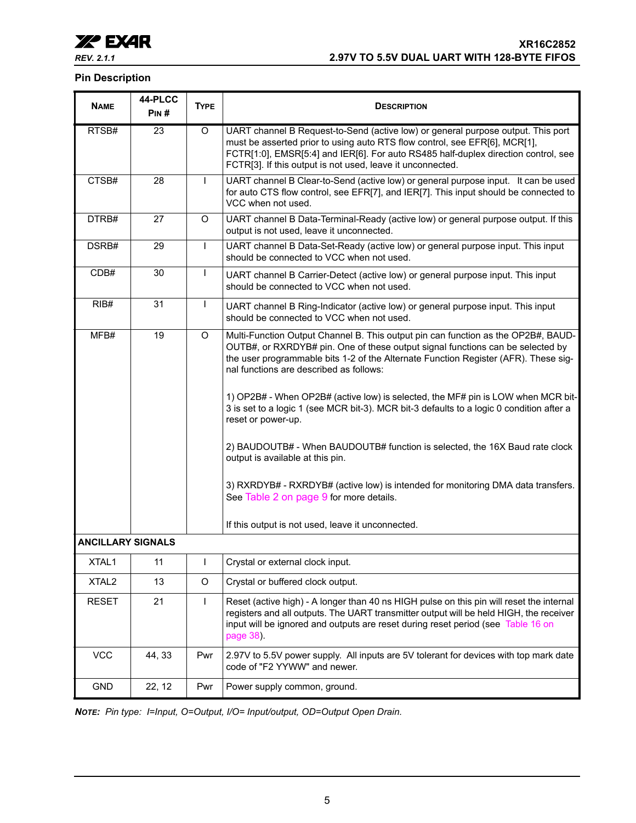

### **Pin Description**

| <b>NAME</b>              | 44-PLCC<br>PIN# | <b>TYPE</b>  | <b>DESCRIPTION</b>                                                                                                                                                                                                                                                                                                                                                                                                                                                                                          |
|--------------------------|-----------------|--------------|-------------------------------------------------------------------------------------------------------------------------------------------------------------------------------------------------------------------------------------------------------------------------------------------------------------------------------------------------------------------------------------------------------------------------------------------------------------------------------------------------------------|
| RTSB#                    | $\overline{23}$ | O            | UART channel B Request-to-Send (active low) or general purpose output. This port<br>must be asserted prior to using auto RTS flow control, see EFR[6], MCR[1],<br>FCTR[1:0], EMSR[5:4] and IER[6]. For auto RS485 half-duplex direction control, see<br>FCTR[3]. If this output is not used, leave it unconnected.                                                                                                                                                                                          |
| CTSB#                    | 28              | $\mathbf{I}$ | UART channel B Clear-to-Send (active low) or general purpose input. It can be used<br>for auto CTS flow control, see EFR[7], and IER[7]. This input should be connected to<br>VCC when not used.                                                                                                                                                                                                                                                                                                            |
| DTRB#                    | 27              | O            | UART channel B Data-Terminal-Ready (active low) or general purpose output. If this<br>output is not used, leave it unconnected.                                                                                                                                                                                                                                                                                                                                                                             |
| DSRB#                    | 29              | $\mathbf{I}$ | UART channel B Data-Set-Ready (active low) or general purpose input. This input<br>should be connected to VCC when not used.                                                                                                                                                                                                                                                                                                                                                                                |
| CDB#                     | 30              | $\mathsf{I}$ | UART channel B Carrier-Detect (active low) or general purpose input. This input<br>should be connected to VCC when not used.                                                                                                                                                                                                                                                                                                                                                                                |
| RIB#                     | 31              | $\mathbf{I}$ | UART channel B Ring-Indicator (active low) or general purpose input. This input<br>should be connected to VCC when not used.                                                                                                                                                                                                                                                                                                                                                                                |
| MFB#                     | 19              | O            | Multi-Function Output Channel B. This output pin can function as the OP2B#, BAUD-<br>OUTB#, or RXRDYB# pin. One of these output signal functions can be selected by<br>the user programmable bits 1-2 of the Alternate Function Register (AFR). These sig-<br>nal functions are described as follows:<br>1) OP2B# - When OP2B# (active low) is selected, the MF# pin is LOW when MCR bit-<br>3 is set to a logic 1 (see MCR bit-3). MCR bit-3 defaults to a logic 0 condition after a<br>reset or power-up. |
|                          |                 |              | 2) BAUDOUTB# - When BAUDOUTB# function is selected, the 16X Baud rate clock<br>output is available at this pin.                                                                                                                                                                                                                                                                                                                                                                                             |
|                          |                 |              | 3) RXRDYB# - RXRDYB# (active low) is intended for monitoring DMA data transfers.<br>See Table 2 on page 9 for more details.                                                                                                                                                                                                                                                                                                                                                                                 |
|                          |                 |              | If this output is not used, leave it unconnected.                                                                                                                                                                                                                                                                                                                                                                                                                                                           |
| <b>ANCILLARY SIGNALS</b> |                 |              |                                                                                                                                                                                                                                                                                                                                                                                                                                                                                                             |
| XTAL1                    | 11              | $\mathbf{I}$ | Crystal or external clock input.                                                                                                                                                                                                                                                                                                                                                                                                                                                                            |
| XTAL <sub>2</sub>        | 13              | O            | Crystal or buffered clock output.                                                                                                                                                                                                                                                                                                                                                                                                                                                                           |
| <b>RESET</b>             | 21              | $\mathsf{I}$ | Reset (active high) - A longer than 40 ns HIGH pulse on this pin will reset the internal<br>registers and all outputs. The UART transmitter output will be held HIGH, the receiver<br>input will be ignored and outputs are reset during reset period (see Table 16 on<br>page 38).                                                                                                                                                                                                                         |
| <b>VCC</b>               | 44, 33          | Pwr          | 2.97V to 5.5V power supply. All inputs are 5V tolerant for devices with top mark date<br>code of "F2 YYWW" and newer.                                                                                                                                                                                                                                                                                                                                                                                       |
| <b>GND</b>               | 22, 12          | Pwr          | Power supply common, ground.                                                                                                                                                                                                                                                                                                                                                                                                                                                                                |

*NOTE: Pin type: I=Input, O=Output, I/O= Input/output, OD=Output Open Drain.*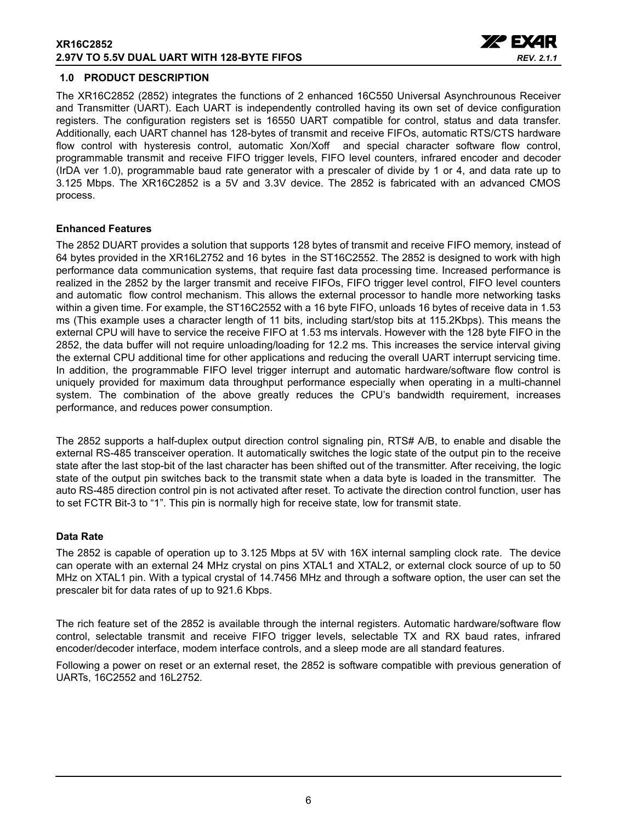#### **XR16C2852 2.97V TO 5.5V DUAL UART WITH 128-BYTE FIFOS**



#### <span id="page-5-0"></span>**1.0 PRODUCT DESCRIPTION**

The XR16C2852 (2852) integrates the functions of 2 enhanced 16C550 Universal Asynchrounous Receiver and Transmitter (UART). Each UART is independently controlled having its own set of device configuration registers. The configuration registers set is 16550 UART compatible for control, status and data transfer. Additionally, each UART channel has 128-bytes of transmit and receive FIFOs, automatic RTS/CTS hardware flow control with hysteresis control, automatic Xon/Xoff and special character software flow control, programmable transmit and receive FIFO trigger levels, FIFO level counters, infrared encoder and decoder (IrDA ver 1.0), programmable baud rate generator with a prescaler of divide by 1 or 4, and data rate up to 3.125 Mbps. The XR16C2852 is a 5V and 3.3V device. The 2852 is fabricated with an advanced CMOS process.

#### **Enhanced Features**

The 2852 DUART provides a solution that supports 128 bytes of transmit and receive FIFO memory, instead of 64 bytes provided in the XR16L2752 and 16 bytes in the ST16C2552. The 2852 is designed to work with high performance data communication systems, that require fast data processing time. Increased performance is realized in the 2852 by the larger transmit and receive FIFOs, FIFO trigger level control, FIFO level counters and automatic flow control mechanism. This allows the external processor to handle more networking tasks within a given time. For example, the ST16C2552 with a 16 byte FIFO, unloads 16 bytes of receive data in 1.53 ms (This example uses a character length of 11 bits, including start/stop bits at 115.2Kbps). This means the external CPU will have to service the receive FIFO at 1.53 ms intervals. However with the 128 byte FIFO in the 2852, the data buffer will not require unloading/loading for 12.2 ms. This increases the service interval giving the external CPU additional time for other applications and reducing the overall UART interrupt servicing time. In addition, the programmable FIFO level trigger interrupt and automatic hardware/software flow control is uniquely provided for maximum data throughput performance especially when operating in a multi-channel system. The combination of the above greatly reduces the CPU's bandwidth requirement, increases performance, and reduces power consumption.

The 2852 supports a half-duplex output direction control signaling pin, RTS# A/B, to enable and disable the external RS-485 transceiver operation. It automatically switches the logic state of the output pin to the receive state after the last stop-bit of the last character has been shifted out of the transmitter. After receiving, the logic state of the output pin switches back to the transmit state when a data byte is loaded in the transmitter. The auto RS-485 direction control pin is not activated after reset. To activate the direction control function, user has to set FCTR Bit-3 to "1". This pin is normally high for receive state, low for transmit state.

#### **Data Rate**

The 2852 is capable of operation up to 3.125 Mbps at 5V with 16X internal sampling clock rate. The device can operate with an external 24 MHz crystal on pins XTAL1 and XTAL2, or external clock source of up to 50 MHz on XTAL1 pin. With a typical crystal of 14.7456 MHz and through a software option, the user can set the prescaler bit for data rates of up to 921.6 Kbps.

The rich feature set of the 2852 is available through the internal registers. Automatic hardware/software flow control, selectable transmit and receive FIFO trigger levels, selectable TX and RX baud rates, infrared encoder/decoder interface, modem interface controls, and a sleep mode are all standard features.

Following a power on reset or an external reset, the 2852 is software compatible with previous generation of UARTs, 16C2552 and 16L2752.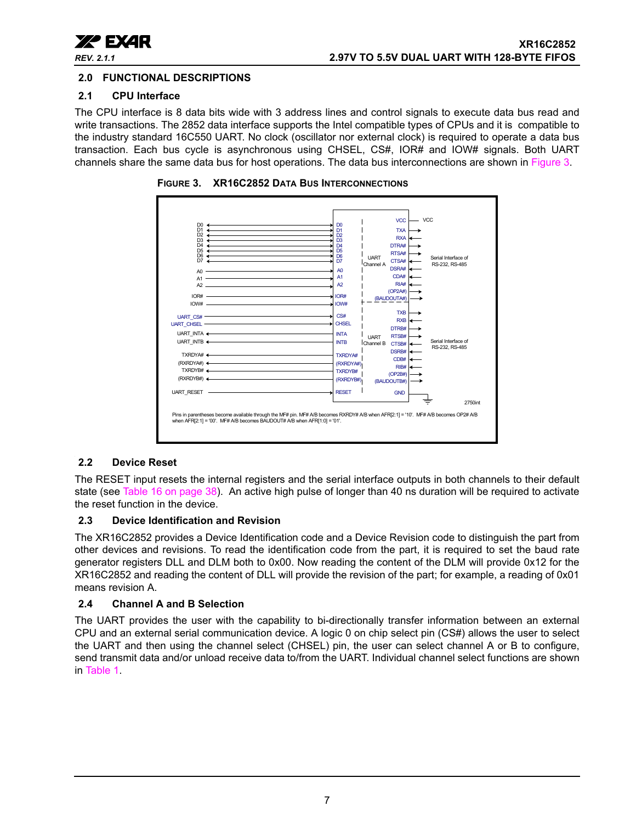

## <span id="page-6-1"></span>**2.0 FUNCTIONAL DESCRIPTIONS**

## <span id="page-6-2"></span>**2.1 CPU Interface**

The CPU interface is 8 data bits wide with 3 address lines and control signals to execute data bus read and write transactions. The 2852 data interface supports the Intel compatible types of CPUs and it is compatible to the industry standard 16C550 UART. No clock (oscillator nor external clock) is required to operate a data bus transaction. Each bus cycle is asynchronous using CHSEL, CS#, IOR# and IOW# signals. Both UART channels share the same data bus for host operations. The data bus interconnections are shown in [Figure](#page-6-0) 3.



<span id="page-6-0"></span>**FIGURE 3. XR16C2852 DATA BUS INTERCONNECTIONS**

## <span id="page-6-3"></span>**2.2 Device Reset**

The RESET input resets the internal registers and the serial interface outputs in both channels to their default state (see Table [16 on page](#page-37-0) 38). An active high pulse of longer than 40 ns duration will be required to activate the reset function in the device.

## <span id="page-6-4"></span>**2.3 Device Identification and Revision**

The XR16C2852 provides a Device Identification code and a Device Revision code to distinguish the part from other devices and revisions. To read the identification code from the part, it is required to set the baud rate generator registers DLL and DLM both to 0x00. Now reading the content of the DLM will provide 0x12 for the XR16C2852 and reading the content of DLL will provide the revision of the part; for example, a reading of 0x01 means revision A.

## <span id="page-6-5"></span>**2.4 Channel A and B Selection**

The UART provides the user with the capability to bi-directionally transfer information between an external CPU and an external serial communication device. A logic 0 on chip select pin (CS#) allows the user to select the UART and then using the channel select (CHSEL) pin, the user can select channel A or B to configure, send transmit data and/or unload receive data to/from the UART. Individual channel select functions are shown in [Table](#page-7-0) 1.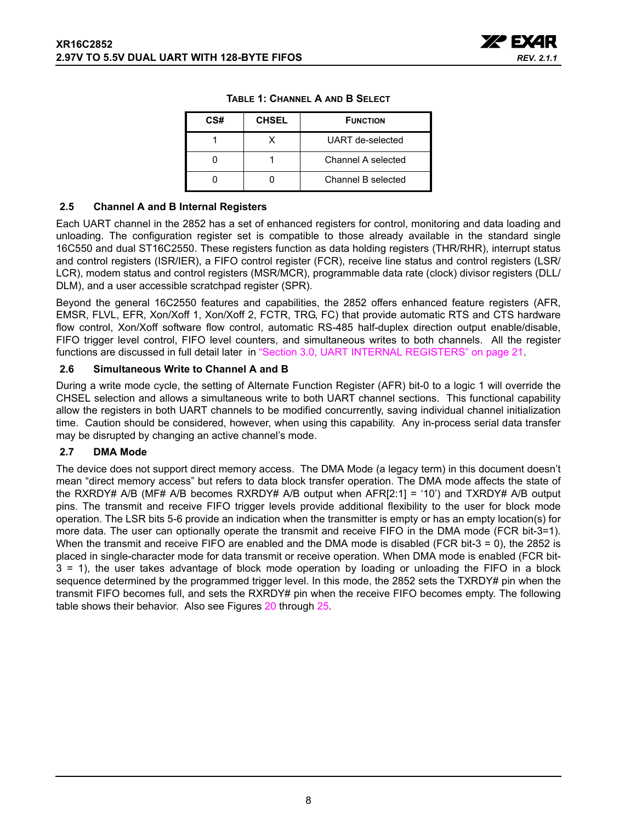

| CS# | <b>CHSEL</b> | <b>FUNCTION</b>    |
|-----|--------------|--------------------|
|     |              | UART de-selected   |
|     |              | Channel A selected |
|     |              | Channel B selected |

#### **TABLE 1: CHANNEL A AND B SELECT**

#### <span id="page-7-1"></span><span id="page-7-0"></span>**2.5 Channel A and B Internal Registers**

Each UART channel in the 2852 has a set of enhanced registers for control, monitoring and data loading and unloading. The configuration register set is compatible to those already available in the standard single 16C550 and dual ST16C2550. These registers function as data holding registers (THR/RHR), interrupt status and control registers (ISR/IER), a FIFO control register (FCR), receive line status and control registers (LSR/ LCR), modem status and control registers (MSR/MCR), programmable data rate (clock) divisor registers (DLL/ DLM), and a user accessible scratchpad register (SPR).

Beyond the general 16C2550 features and capabilities, the 2852 offers enhanced feature registers (AFR, EMSR, FLVL, EFR, Xon/Xoff 1, Xon/Xoff 2, FCTR, TRG, FC) that provide automatic RTS and CTS hardware flow control, Xon/Xoff software flow control, automatic RS-485 half-duplex direction output enable/disable, FIFO trigger level control, FIFO level counters, and simultaneous writes to both channels. All the register functions are discussed in full detail later in ["Section 3.0, UART INTERNAL REGISTERS" on page](#page-20-0) 21.

#### <span id="page-7-2"></span>**2.6 Simultaneous Write to Channel A and B**

During a write mode cycle, the setting of Alternate Function Register (AFR) bit-0 to a logic 1 will override the CHSEL selection and allows a simultaneous write to both UART channel sections. This functional capability allow the registers in both UART channels to be modified concurrently, saving individual channel initialization time. Caution should be considered, however, when using this capability. Any in-process serial data transfer may be disrupted by changing an active channel's mode.

## <span id="page-7-3"></span>**2.7 DMA Mode**

The device does not support direct memory access. The DMA Mode (a legacy term) in this document doesn't mean "direct memory access" but refers to data block transfer operation. The DMA mode affects the state of the RXRDY# A/B (MF# A/B becomes RXRDY# A/B output when AFR[2:1] = '10') and TXRDY# A/B output pins. The transmit and receive FIFO trigger levels provide additional flexibility to the user for block mode operation. The LSR bits 5-6 provide an indication when the transmitter is empty or has an empty location(s) for more data. The user can optionally operate the transmit and receive FIFO in the DMA mode (FCR bit-3=1). When the transmit and receive FIFO are enabled and the DMA mode is disabled (FCR bit-3 = 0), the 2852 is placed in single-character mode for data transmit or receive operation. When DMA mode is enabled (FCR bit-3 = 1), the user takes advantage of block mode operation by loading or unloading the FIFO in a block sequence determined by the programmed trigger level. In this mode, the 2852 sets the TXRDY# pin when the transmit FIFO becomes full, and sets the RXRDY# pin when the receive FIFO becomes empty. The following table shows their behavior. Also see Figures [20](#page-43-0) through [25.](#page-45-0)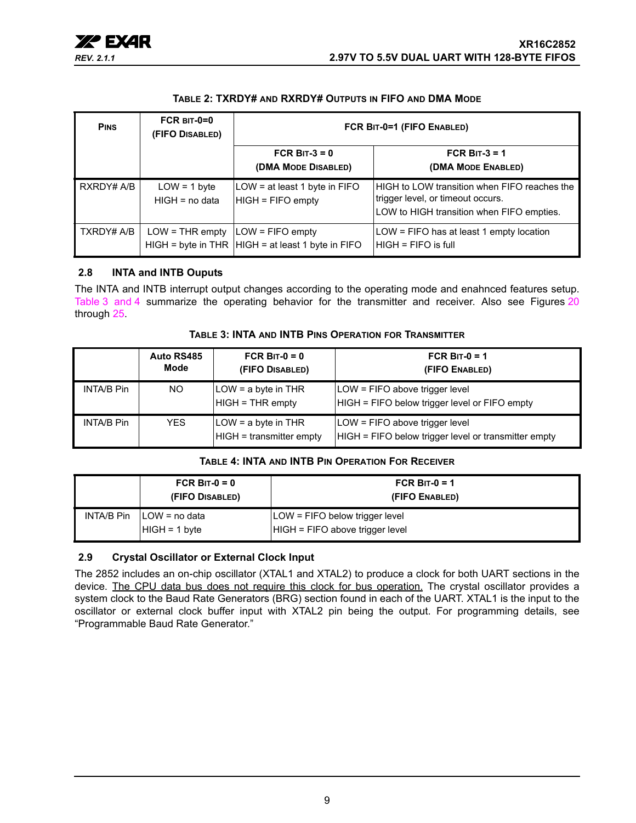

#### **TABLE 2: TXRDY# AND RXRDY# OUTPUTS IN FIFO AND DMA MODE**

<span id="page-8-0"></span>

| <b>PINS</b> | FCR $BIT-0=0$<br>(FIFO DISABLED)                         | FCR BIT-0=1 (FIFO ENABLED)                             |                                                                                                                                |  |
|-------------|----------------------------------------------------------|--------------------------------------------------------|--------------------------------------------------------------------------------------------------------------------------------|--|
|             |                                                          | FCR BIT- $3 = 0$<br>(DMA MODE DISABLED)                | FCR BIT- $3 = 1$<br>(DMA MODE ENABLED)                                                                                         |  |
| RXRDY# A/B  | $LOW = 1 byte$<br>$HIGH = no data$                       | LOW = at least 1 byte in FIFO<br>$HIGH = FIFO$ empty   | HIGH to LOW transition when FIFO reaches the<br>trigger level, or timeout occurs.<br>LOW to HIGH transition when FIFO empties. |  |
| TXRDY# A/B  | $LOW = THE empty$ $\vert LOW = FIFO \text{ empty} \vert$ | $HIGH = byte$ in THR $ HIGH = at least 1 byte$ in FIFO | LOW = FIFO has at least 1 empty location<br>$HIGH = FIFO$ is full                                                              |  |

#### <span id="page-8-3"></span>**2.8 INTA and INTB Ouputs**

The INTA and INTB interrupt output changes according to the operating mode and enahnced features setup. [Table](#page-8-1) 3 [and](#page-8-2) 4 summarize the operating behavior for the transmitter and receiver. Also see Figures [20](#page-43-0) through [25.](#page-45-0)

<span id="page-8-1"></span>

|                   | Auto RS485<br>Mode | FCR BIT- $0 = 0$<br>(FIFO DISABLED)             | FCR BIT- $0 = 1$<br>(FIFO ENABLED)                                                     |
|-------------------|--------------------|-------------------------------------------------|----------------------------------------------------------------------------------------|
| <b>INTA/B Pin</b> | NO.                | LOW = a byte in THR<br>$HIGH = THR$ empty       | LOW = FIFO above trigger level<br>HIGH = FIFO below trigger level or FIFO empty        |
| <b>INTA/B Pin</b> | YES.               | LOW = a byte in THR<br>HIGH = transmitter empty | LOW = FIFO above trigger level<br>HIGH = FIFO below trigger level or transmitter empty |

#### **TABLE 3: INTA AND INTB PINS OPERATION FOR TRANSMITTER**

#### **TABLE 4: INTA AND INTB PIN OPERATION FOR RECEIVER**

<span id="page-8-2"></span>

| FCR BIT- $0 = 0$<br>(FIFO DISABLED)               | FCR BIT- $0 = 1$<br>(FIFO ENABLED)                                |
|---------------------------------------------------|-------------------------------------------------------------------|
| $INTA/B P$ in $ILOW = no data$<br>$HIGH = 1 byte$ | LOW = FIFO below trigger level<br>HIGH = FIFO above trigger level |

## <span id="page-8-4"></span>**2.9 Crystal Oscillator or External Clock Input**

The 2852 includes an on-chip oscillator (XTAL1 and XTAL2) to produce a clock for both UART sections in the device. The CPU data bus does not require this clock for bus operation. The crystal oscillator provides a system clock to the Baud Rate Generators (BRG) section found in each of the UART. XTAL1 is the input to the oscillator or external clock buffer input with XTAL2 pin being the output. For programming details, see "Programmable Baud Rate Generator."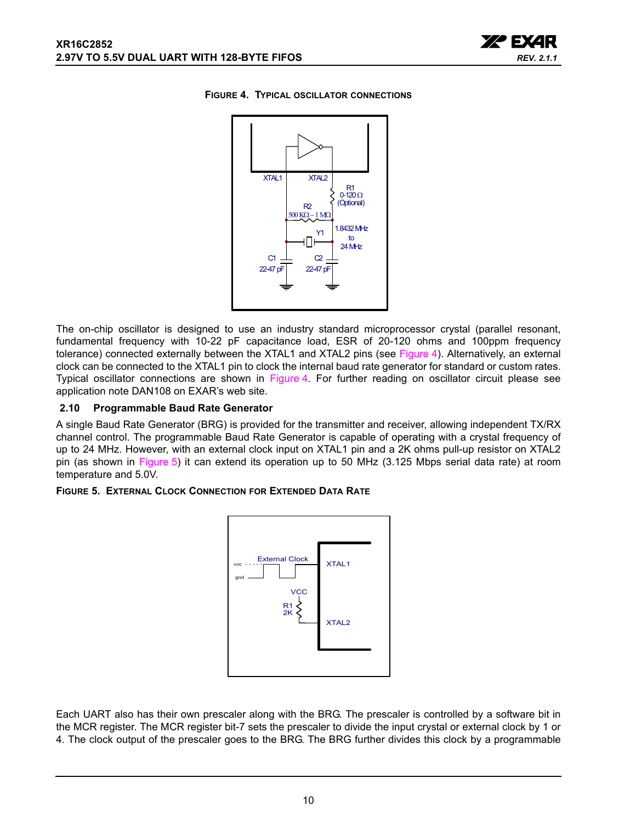

#### <span id="page-9-0"></span>**FIGURE 4. TYPICAL OSCILLATOR CONNECTIONS**



The on-chip oscillator is designed to use an industry standard microprocessor crystal (parallel resonant, fundamental frequency with 10-22 pF capacitance load, ESR of 20-120 ohms and 100ppm frequency tolerance) connected externally between the XTAL1 and XTAL2 pins (see [Figure](#page-9-0) 4). Alternatively, an external clock can be connected to the XTAL1 pin to clock the internal baud rate generator for standard or custom rates. Typical oscillator connections are shown in [Figure](#page-9-0) 4. For further reading on oscillator circuit please see application note DAN108 on EXAR's web site.

#### <span id="page-9-2"></span>**2.10 Programmable Baud Rate Generator**

A single Baud Rate Generator (BRG) is provided for the transmitter and receiver, allowing independent TX/RX channel control. The programmable Baud Rate Generator is capable of operating with a crystal frequency of up to 24 MHz. However, with an external clock input on XTAL1 pin and a 2K ohms pull-up resistor on XTAL2 pin (as shown in [Figure](#page-9-1) 5) it can extend its operation up to 50 MHz (3.125 Mbps serial data rate) at room temperature and 5.0V.

#### <span id="page-9-1"></span>**FIGURE 5. EXTERNAL CLOCK CONNECTION FOR EXTENDED DATA RATE**



Each UART also has their own prescaler along with the BRG. The prescaler is controlled by a software bit in the MCR register. The MCR register bit-7 sets the prescaler to divide the input crystal or external clock by 1 or 4. The clock output of the prescaler goes to the BRG. The BRG further divides this clock by a programmable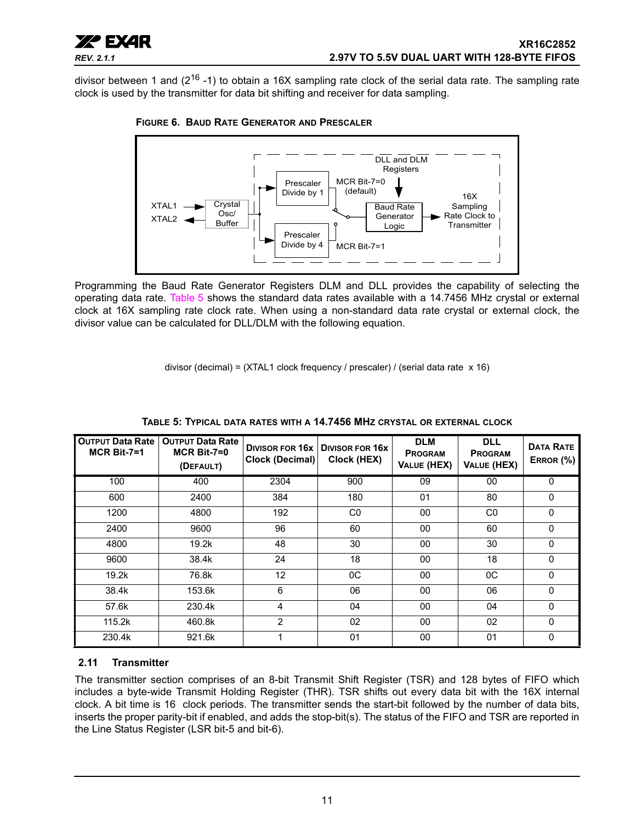

divisor between 1 and (2<sup>16</sup> -1) to obtain a 16X sampling rate clock of the serial data rate. The sampling rate clock is used by the transmitter for data bit shifting and receiver for data sampling.



<span id="page-10-2"></span>**FIGURE 6. BAUD RATE GENERATOR AND PRESCALER**

Programming the Baud Rate Generator Registers DLM and DLL provides the capability of selecting the operating data rate. [Table](#page-10-0) 5 shows the standard data rates available with a 14.7456 MHz crystal or external clock at 16X sampling rate clock rate. When using a non-standard data rate crystal or external clock, the divisor value can be calculated for DLL/DLM with the following equation.

divisor (decimal) = (XTAL1 clock frequency / prescaler) / (serial data rate x 16)

<span id="page-10-0"></span>

| <b>OUTPUT Data Rate</b><br>$MCR$ Bit-7=1 | <b>OUTPUT Data Rate</b><br>$MCR$ Bit-7=0<br>(DEFAULT) | DIVISOR FOR 16x<br>Clock (Decimal) | <b>DIVISOR FOR 16X</b><br>Clock (HEX) | <b>DLM</b><br><b>PROGRAM</b><br><b>VALUE (HEX)</b> | <b>DLL</b><br><b>PROGRAM</b><br>VALUE (HEX) | <b>DATA RATE</b><br>ERROR (%) |
|------------------------------------------|-------------------------------------------------------|------------------------------------|---------------------------------------|----------------------------------------------------|---------------------------------------------|-------------------------------|
| 100                                      | 400                                                   | 2304                               | 900                                   | 09                                                 | 00                                          | $\mathbf{0}$                  |
| 600                                      | 2400                                                  | 384                                | 180                                   | 01                                                 | 80                                          | $\mathbf{0}$                  |
| 1200                                     | 4800                                                  | 192                                | C <sub>0</sub>                        | 00                                                 | C <sub>0</sub>                              | $\mathbf{0}$                  |
| 2400                                     | 9600                                                  | 96                                 | 60                                    | 00                                                 | 60                                          | $\mathbf{0}$                  |
| 4800                                     | 19.2k                                                 | 48                                 | 30                                    | 00                                                 | 30                                          | $\mathbf{0}$                  |
| 9600                                     | 38.4k                                                 | 24                                 | 18                                    | 00                                                 | 18                                          | $\mathbf{0}$                  |
| 19.2k                                    | 76.8k                                                 | 12                                 | $_{0C}$                               | 00                                                 | 0C                                          | $\mathbf{0}$                  |
| 38.4k                                    | 153.6k                                                | 6                                  | 06                                    | 00                                                 | 06                                          | $\mathbf{0}$                  |
| 57.6k                                    | 230.4k                                                | 4                                  | 04                                    | 00                                                 | 04                                          | $\mathbf{0}$                  |
| 115.2k                                   | 460.8k                                                | $\overline{2}$                     | 02                                    | 00                                                 | 02                                          | $\Omega$                      |
| 230.4k                                   | 921.6k                                                |                                    | 01                                    | 00                                                 | 01                                          | $\mathbf{0}$                  |

**TABLE 5: TYPICAL DATA RATES WITH A 14.7456 MHZ CRYSTAL OR EXTERNAL CLOCK**

## <span id="page-10-1"></span>**2.11 Transmitter**

The transmitter section comprises of an 8-bit Transmit Shift Register (TSR) and 128 bytes of FIFO which includes a byte-wide Transmit Holding Register (THR). TSR shifts out every data bit with the 16X internal clock. A bit time is 16 clock periods. The transmitter sends the start-bit followed by the number of data bits, inserts the proper parity-bit if enabled, and adds the stop-bit(s). The status of the FIFO and TSR are reported in the Line Status Register (LSR bit-5 and bit-6).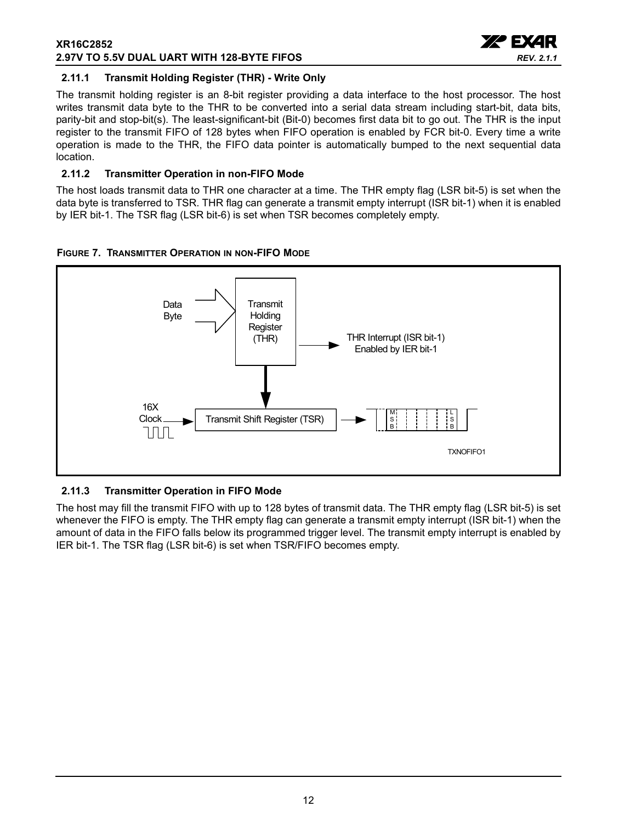#### **XR16C2852 2.97V TO 5.5V DUAL UART WITH 128-BYTE FIFOS**



## <span id="page-11-0"></span>**2.11.1 Transmit Holding Register (THR) - Write Only**

The transmit holding register is an 8-bit register providing a data interface to the host processor. The host writes transmit data byte to the THR to be converted into a serial data stream including start-bit, data bits, parity-bit and stop-bit(s). The least-significant-bit (Bit-0) becomes first data bit to go out. The THR is the input register to the transmit FIFO of 128 bytes when FIFO operation is enabled by FCR bit-0. Every time a write operation is made to the THR, the FIFO data pointer is automatically bumped to the next sequential data location.

## <span id="page-11-1"></span>**2.11.2 Transmitter Operation in non-FIFO Mode**

The host loads transmit data to THR one character at a time. The THR empty flag (LSR bit-5) is set when the data byte is transferred to TSR. THR flag can generate a transmit empty interrupt (ISR bit-1) when it is enabled by IER bit-1. The TSR flag (LSR bit-6) is set when TSR becomes completely empty.

<span id="page-11-2"></span>



## <span id="page-11-3"></span>**2.11.3 Transmitter Operation in FIFO Mode**

The host may fill the transmit FIFO with up to 128 bytes of transmit data. The THR empty flag (LSR bit-5) is set whenever the FIFO is empty. The THR empty flag can generate a transmit empty interrupt (ISR bit-1) when the amount of data in the FIFO falls below its programmed trigger level. The transmit empty interrupt is enabled by IER bit-1. The TSR flag (LSR bit-6) is set when TSR/FIFO becomes empty.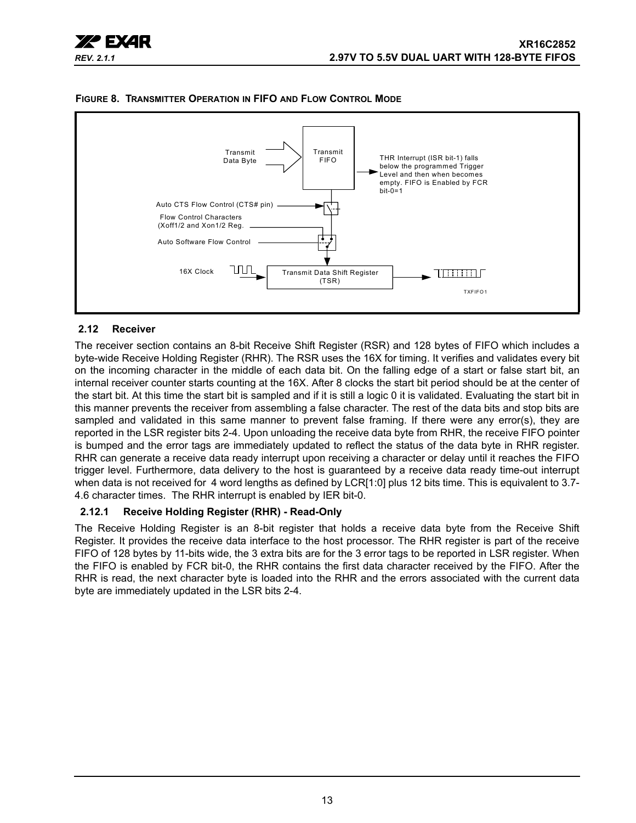



#### <span id="page-12-1"></span>**FIGURE 8. TRANSMITTER OPERATION IN FIFO AND FLOW CONTROL MODE**

## <span id="page-12-0"></span>**2.12 Receiver**

The receiver section contains an 8-bit Receive Shift Register (RSR) and 128 bytes of FIFO which includes a byte-wide Receive Holding Register (RHR). The RSR uses the 16X for timing. It verifies and validates every bit on the incoming character in the middle of each data bit. On the falling edge of a start or false start bit, an internal receiver counter starts counting at the 16X. After 8 clocks the start bit period should be at the center of the start bit. At this time the start bit is sampled and if it is still a logic 0 it is validated. Evaluating the start bit in this manner prevents the receiver from assembling a false character. The rest of the data bits and stop bits are sampled and validated in this same manner to prevent false framing. If there were any error(s), they are reported in the LSR register bits 2-4. Upon unloading the receive data byte from RHR, the receive FIFO pointer is bumped and the error tags are immediately updated to reflect the status of the data byte in RHR register. RHR can generate a receive data ready interrupt upon receiving a character or delay until it reaches the FIFO trigger level. Furthermore, data delivery to the host is guaranteed by a receive data ready time-out interrupt when data is not received for 4 word lengths as defined by LCR[1:0] plus 12 bits time. This is equivalent to 3.7-4.6 character times. The RHR interrupt is enabled by IER bit-0.

## <span id="page-12-2"></span>**2.12.1 Receive Holding Register (RHR) - Read-Only**

The Receive Holding Register is an 8-bit register that holds a receive data byte from the Receive Shift Register. It provides the receive data interface to the host processor. The RHR register is part of the receive FIFO of 128 bytes by 11-bits wide, the 3 extra bits are for the 3 error tags to be reported in LSR register. When the FIFO is enabled by FCR bit-0, the RHR contains the first data character received by the FIFO. After the RHR is read, the next character byte is loaded into the RHR and the errors associated with the current data byte are immediately updated in the LSR bits 2-4.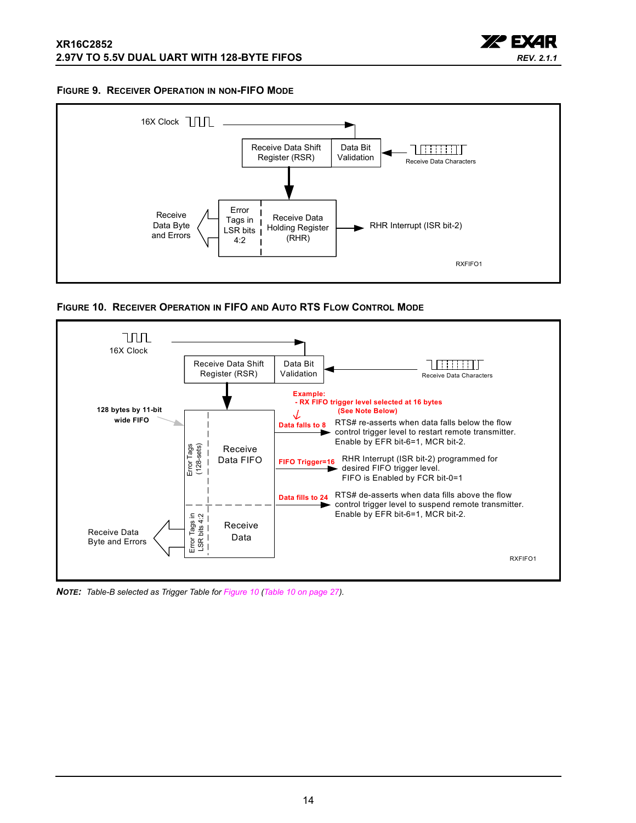

#### <span id="page-13-1"></span>**FIGURE 9. RECEIVER OPERATION IN NON-FIFO MODE**



<span id="page-13-0"></span>**FIGURE 10. RECEIVER OPERATION IN FIFO AND AUTO RTS FLOW CONTROL MODE**



*NOTE: Table-B selected as Trigger Table for [Figure](#page-13-0) 10 (Table [10 on page](#page-26-0) 27).*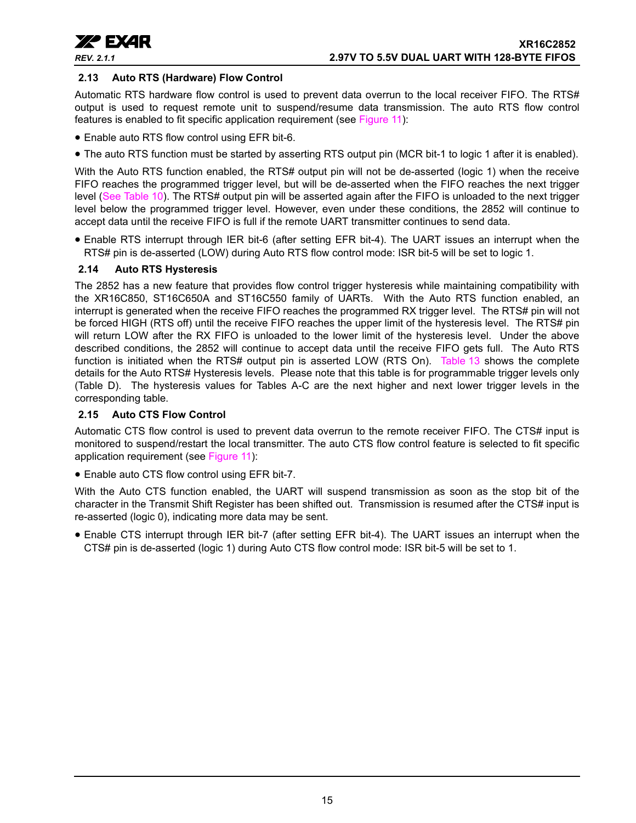

#### <span id="page-14-0"></span>**2.13 Auto RTS (Hardware) Flow Control**

Automatic RTS hardware flow control is used to prevent data overrun to the local receiver FIFO. The RTS# output is used to request remote unit to suspend/resume data transmission. The auto RTS flow control features is enabled to fit specific application requirement (see [Figure](#page-15-0) 11):

- Enable auto RTS flow control using EFR bit-6.
- The auto RTS function must be started by asserting RTS output pin (MCR bit-1 to logic 1 after it is enabled).

With the Auto RTS function enabled, the RTS# output pin will not be de-asserted (logic 1) when the receive FIFO reaches the programmed trigger level, but will be de-asserted when the FIFO reaches the next trigger level ([See Table](#page-26-0) 10). The RTS# output pin will be asserted again after the FIFO is unloaded to the next trigger level below the programmed trigger level. However, even under these conditions, the 2852 will continue to accept data until the receive FIFO is full if the remote UART transmitter continues to send data.

• Enable RTS interrupt through IER bit-6 (after setting EFR bit-4). The UART issues an interrupt when the RTS# pin is de-asserted (LOW) during Auto RTS flow control mode: ISR bit-5 will be set to logic 1.

#### <span id="page-14-1"></span>**2.14 Auto RTS Hysteresis**

The 2852 has a new feature that provides flow control trigger hysteresis while maintaining compatibility with the XR16C850, ST16C650A and ST16C550 family of UARTs. With the Auto RTS function enabled, an interrupt is generated when the receive FIFO reaches the programmed RX trigger level. The RTS# pin will not be forced HIGH (RTS off) until the receive FIFO reaches the upper limit of the hysteresis level. The RTS# pin will return LOW after the RX FIFO is unloaded to the lower limit of the hysteresis level. Under the above described conditions, the 2852 will continue to accept data until the receive FIFO gets full. The Auto RTS function is initiated when the RTS# output pin is asserted LOW (RTS On). [Table](#page-33-0) 13 shows the complete details for the Auto RTS# Hysteresis levels. Please note that this table is for programmable trigger levels only (Table D). The hysteresis values for Tables A-C are the next higher and next lower trigger levels in the corresponding table.

#### <span id="page-14-2"></span>**2.15 Auto CTS Flow Control**

Automatic CTS flow control is used to prevent data overrun to the remote receiver FIFO. The CTS# input is monitored to suspend/restart the local transmitter. The auto CTS flow control feature is selected to fit specific application requirement (see [Figure](#page-15-0) 11):

• Enable auto CTS flow control using EFR bit-7.

With the Auto CTS function enabled, the UART will suspend transmission as soon as the stop bit of the character in the Transmit Shift Register has been shifted out. Transmission is resumed after the CTS# input is re-asserted (logic 0), indicating more data may be sent.

• Enable CTS interrupt through IER bit-7 (after setting EFR bit-4). The UART issues an interrupt when the CTS# pin is de-asserted (logic 1) during Auto CTS flow control mode: ISR bit-5 will be set to 1.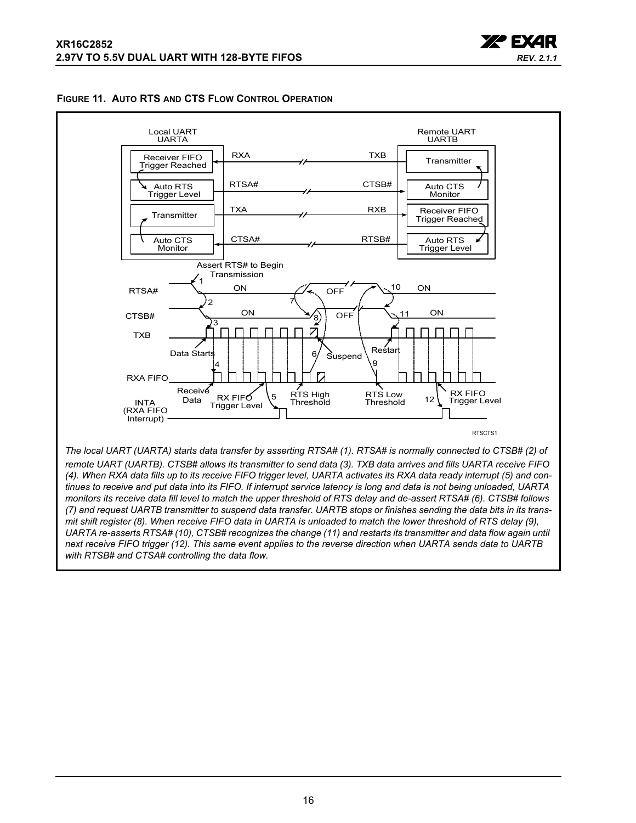

<span id="page-15-0"></span>



*next receive FIFO trigger (12). This same event applies to the reverse direction when UARTA sends data to UARTB with RTSB# and CTSA# controlling the data flow.*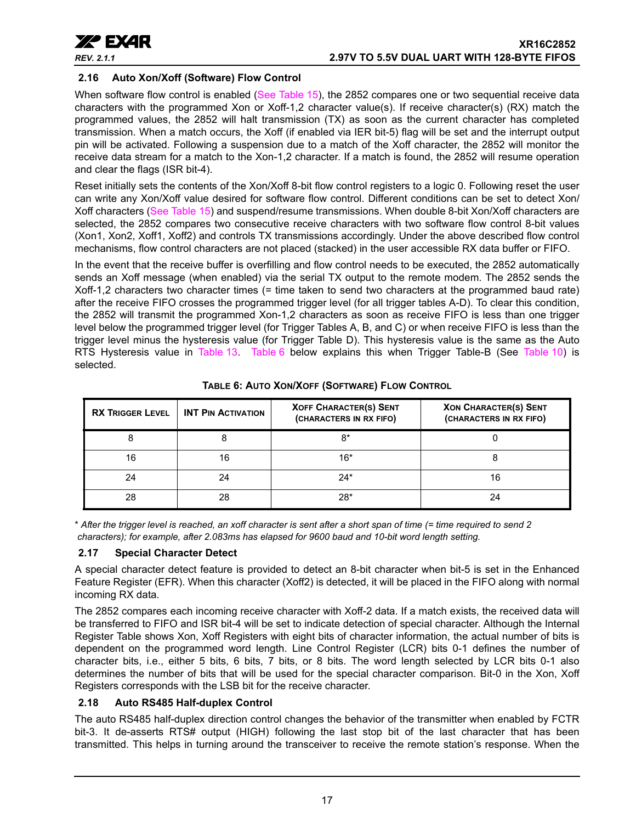

## <span id="page-16-1"></span>**2.16 Auto Xon/Xoff (Software) Flow Control**

When software flow control is enabled ([See Table](#page-35-0) 15), the 2852 compares one or two sequential receive data characters with the programmed Xon or Xoff-1,2 character value(s). If receive character(s) (RX) match the programmed values, the 2852 will halt transmission (TX) as soon as the current character has completed transmission. When a match occurs, the Xoff (if enabled via IER bit-5) flag will be set and the interrupt output pin will be activated. Following a suspension due to a match of the Xoff character, the 2852 will monitor the receive data stream for a match to the Xon-1,2 character. If a match is found, the 2852 will resume operation and clear the flags (ISR bit-4).

Reset initially sets the contents of the Xon/Xoff 8-bit flow control registers to a logic 0. Following reset the user can write any Xon/Xoff value desired for software flow control. Different conditions can be set to detect Xon/ Xoff characters ([See Table](#page-35-0) 15) and suspend/resume transmissions. When double 8-bit Xon/Xoff characters are selected, the 2852 compares two consecutive receive characters with two software flow control 8-bit values (Xon1, Xon2, Xoff1, Xoff2) and controls TX transmissions accordingly. Under the above described flow control mechanisms, flow control characters are not placed (stacked) in the user accessible RX data buffer or FIFO.

In the event that the receive buffer is overfilling and flow control needs to be executed, the 2852 automatically sends an Xoff message (when enabled) via the serial TX output to the remote modem. The 2852 sends the Xoff-1,2 characters two character times (= time taken to send two characters at the programmed baud rate) after the receive FIFO crosses the programmed trigger level (for all trigger tables A-D). To clear this condition, the 2852 will transmit the programmed Xon-1,2 characters as soon as receive FIFO is less than one trigger level below the programmed trigger level (for Trigger Tables A, B, and C) or when receive FIFO is less than the trigger level minus the hysteresis value (for Trigger Table D). This hysteresis value is the same as the Auto RTS Hysteresis value in [Table](#page-26-0) 13. Table 6 below explains this when Trigger Table-B (See Table 10) is selected.

<span id="page-16-0"></span>

| <b>RX TRIGGER LEVEL</b> | <b>INT PIN ACTIVATION</b> | <b>XOFF CHARACTER(S) SENT</b><br>(CHARACTERS IN RX FIFO) | <b>XON CHARACTER(S) SENT</b><br>(CHARACTERS IN RX FIFO) |
|-------------------------|---------------------------|----------------------------------------------------------|---------------------------------------------------------|
|                         |                           | 8*                                                       |                                                         |
| 16                      | 16                        | 16*                                                      |                                                         |
| 24                      | 24                        | $24*$                                                    | 16                                                      |
| 28                      | 28                        | $28*$                                                    |                                                         |

**TABLE 6: AUTO XON/XOFF (SOFTWARE) FLOW CONTROL**

\* *After the trigger level is reached, an xoff character is sent after a short span of time (= time required to send 2 characters); for example, after 2.083ms has elapsed for 9600 baud and 10-bit word length setting.*

## <span id="page-16-2"></span>**2.17 Special Character Detect**

A special character detect feature is provided to detect an 8-bit character when bit-5 is set in the Enhanced Feature Register (EFR). When this character (Xoff2) is detected, it will be placed in the FIFO along with normal incoming RX data.

The 2852 compares each incoming receive character with Xoff-2 data. If a match exists, the received data will be transferred to FIFO and ISR bit-4 will be set to indicate detection of special character. Although the Internal Register Table shows Xon, Xoff Registers with eight bits of character information, the actual number of bits is dependent on the programmed word length. Line Control Register (LCR) bits 0-1 defines the number of character bits, i.e., either 5 bits, 6 bits, 7 bits, or 8 bits. The word length selected by LCR bits 0-1 also determines the number of bits that will be used for the special character comparison. Bit-0 in the Xon, Xoff Registers corresponds with the LSB bit for the receive character.

## <span id="page-16-3"></span>**2.18 Auto RS485 Half-duplex Control**

The auto RS485 half-duplex direction control changes the behavior of the transmitter when enabled by FCTR bit-3. It de-asserts RTS# output (HIGH) following the last stop bit of the last character that has been transmitted. This helps in turning around the transceiver to receive the remote station's response. When the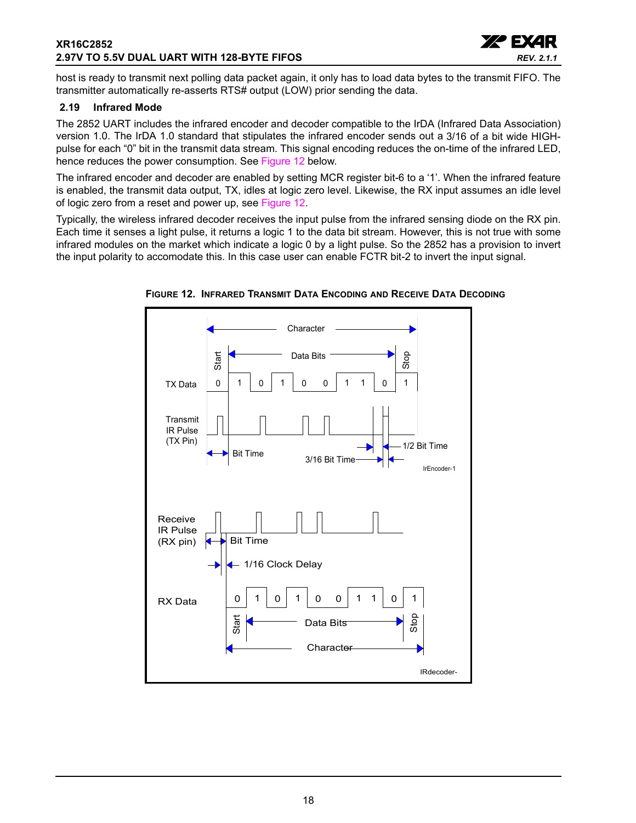## **XR16C2852 2.97V TO 5.5V DUAL UART WITH 128-BYTE FIFOS**



host is ready to transmit next polling data packet again, it only has to load data bytes to the transmit FIFO. The transmitter automatically re-asserts RTS# output (LOW) prior sending the data.

### <span id="page-17-1"></span>**2.19 Infrared Mode**

The 2852 UART includes the infrared encoder and decoder compatible to the IrDA (Infrared Data Association) version 1.0. The IrDA 1.0 standard that stipulates the infrared encoder sends out a 3/16 of a bit wide HIGHpulse for each "0" bit in the transmit data stream. This signal encoding reduces the on-time of the infrared LED, hence reduces the power consumption. See [Figure](#page-17-0) 12 below.

The infrared encoder and decoder are enabled by setting MCR register bit-6 to a '1'. When the infrared feature is enabled, the transmit data output, TX, idles at logic zero level. Likewise, the RX input assumes an idle level of logic zero from a reset and power up, see [Figure](#page-17-0) 12.

Typically, the wireless infrared decoder receives the input pulse from the infrared sensing diode on the RX pin. Each time it senses a light pulse, it returns a logic 1 to the data bit stream. However, this is not true with some infrared modules on the market which indicate a logic 0 by a light pulse. So the 2852 has a provision to invert the input polarity to accomodate this. In this case user can enable FCTR bit-2 to invert the input signal.



<span id="page-17-0"></span>**FIGURE 12. INFRARED TRANSMIT DATA ENCODING AND RECEIVE DATA DECODING**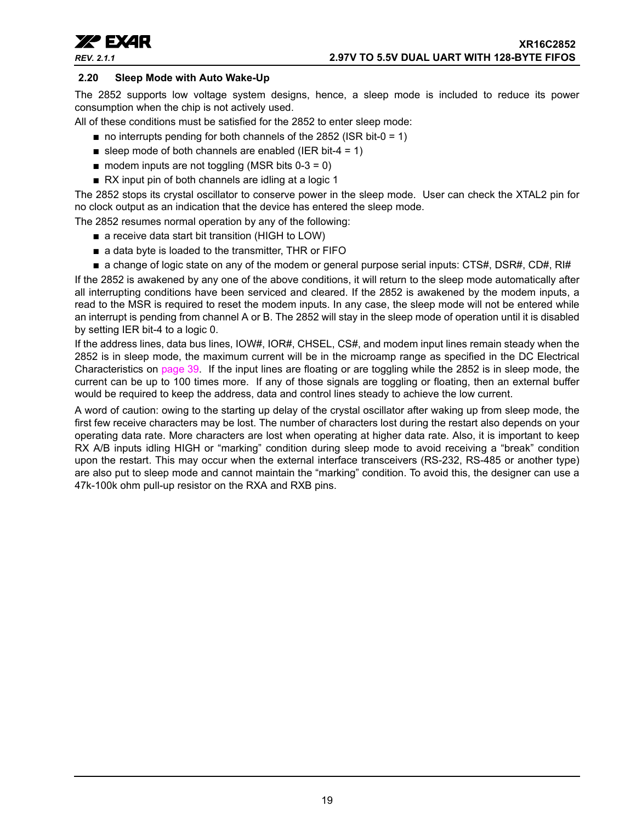

## <span id="page-18-0"></span>**2.20 Sleep Mode with Auto Wake-Up**

The 2852 supports low voltage system designs, hence, a sleep mode is included to reduce its power consumption when the chip is not actively used.

All of these conditions must be satisfied for the 2852 to enter sleep mode:

- $\blacksquare$  no interrupts pending for both channels of the 2852 (ISR bit-0 = 1)
- sleep mode of both channels are enabled (IER bit-4 = 1)
- $\blacksquare$  modem inputs are not toggling (MSR bits 0-3 = 0)
- RX input pin of both channels are idling at a logic 1

The 2852 stops its crystal oscillator to conserve power in the sleep mode. User can check the XTAL2 pin for no clock output as an indication that the device has entered the sleep mode.

The 2852 resumes normal operation by any of the following:

- a receive data start bit transition (HIGH to LOW)
- a data byte is loaded to the transmitter, THR or FIFO
- a change of logic state on any of the modem or general purpose serial inputs: CTS#, DSR#, CD#, RI#

If the 2852 is awakened by any one of the above conditions, it will return to the sleep mode automatically after all interrupting conditions have been serviced and cleared. If the 2852 is awakened by the modem inputs, a read to the MSR is required to reset the modem inputs. In any case, the sleep mode will not be entered while an interrupt is pending from channel A or B. The 2852 will stay in the sleep mode of operation until it is disabled by setting IER bit-4 to a logic 0.

If the address lines, data bus lines, IOW#, IOR#, CHSEL, CS#, and modem input lines remain steady when the 2852 is in sleep mode, the maximum current will be in the microamp range as specified in the DC Electrical Characteristics on [page](#page-38-0) 39. If the input lines are floating or are toggling while the 2852 is in sleep mode, the current can be up to 100 times more. If any of those signals are toggling or floating, then an external buffer would be required to keep the address, data and control lines steady to achieve the low current.

A word of caution: owing to the starting up delay of the crystal oscillator after waking up from sleep mode, the first few receive characters may be lost. The number of characters lost during the restart also depends on your operating data rate. More characters are lost when operating at higher data rate. Also, it is important to keep RX A/B inputs idling HIGH or "marking" condition during sleep mode to avoid receiving a "break" condition upon the restart. This may occur when the external interface transceivers (RS-232, RS-485 or another type) are also put to sleep mode and cannot maintain the "marking" condition. To avoid this, the designer can use a 47k-100k ohm pull-up resistor on the RXA and RXB pins.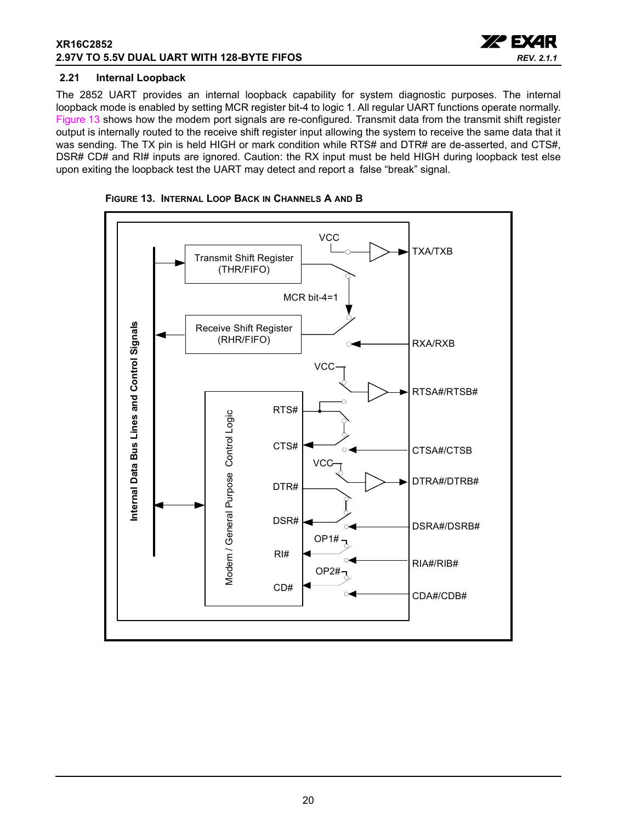## **XR16C2852 2.97V TO 5.5V DUAL UART WITH 128-BYTE FIFOS**



#### <span id="page-19-1"></span>**2.21 Internal Loopback**

The 2852 UART provides an internal loopback capability for system diagnostic purposes. The internal loopback mode is enabled by setting MCR register bit-4 to logic 1. All regular UART functions operate normally. [Figure](#page-19-0) 13 shows how the modem port signals are re-configured. Transmit data from the transmit shift register output is internally routed to the receive shift register input allowing the system to receive the same data that it was sending. The TX pin is held HIGH or mark condition while RTS# and DTR# are de-asserted, and CTS#, DSR# CD# and RI# inputs are ignored. Caution: the RX input must be held HIGH during loopback test else upon exiting the loopback test the UART may detect and report a false "break" signal.

<span id="page-19-0"></span>

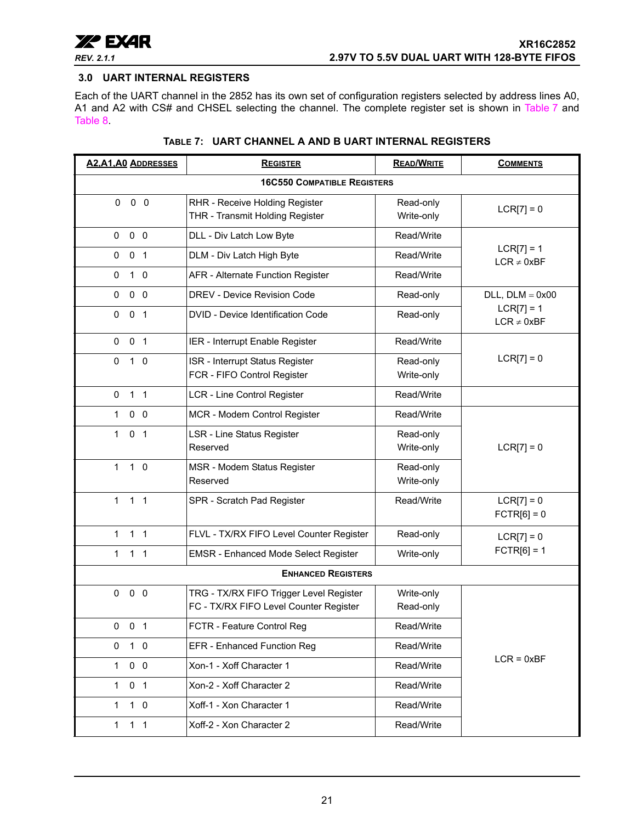

## <span id="page-20-0"></span>**3.0 UART INTERNAL REGISTERS**

Each of the UART channel in the 2852 has its own set of configuration registers selected by address lines A0, A1 and A2 with CS# and CHSEL selecting the channel. The complete register set is shown in [Table](#page-20-1) 7 and [Table](#page-21-0) 8.

<span id="page-20-1"></span>

| <b>A2, A1, A0 ADDRESSES</b>    | <b>REGISTER</b>                                                                   |                         | <b>COMMENTS</b>                 |
|--------------------------------|-----------------------------------------------------------------------------------|-------------------------|---------------------------------|
|                                |                                                                                   |                         |                                 |
| $0\quad 0$<br>$\mathbf{0}$     | RHR - Receive Holding Register<br>THR - Transmit Holding Register                 | Read-only<br>Write-only | $LCR[7] = 0$                    |
| $0\quad 0\quad 0$              | DLL - Div Latch Low Byte                                                          | Read/Write              |                                 |
| 0 <sub>1</sub><br>0            | DLM - Div Latch High Byte                                                         | Read/Write              | $LCR[7] = 1$<br>$LCR \neq 0xBF$ |
| 0<br>$1\quad0$                 | AFR - Alternate Function Register                                                 | Read/Write              |                                 |
| $0\quad 0$<br>0                | <b>DREV - Device Revision Code</b>                                                | Read-only               | $DLL$ , $DLM = 0x00$            |
| 0 <sub>1</sub><br>0            | DVID - Device Identification Code                                                 | Read-only               | $LCR[7] = 1$<br>$LCR \neq 0xBF$ |
| 0 <sub>1</sub><br>$\mathbf 0$  | IER - Interrupt Enable Register                                                   | Read/Write              |                                 |
| 0<br>$1\quad0$                 | ISR - Interrupt Status Register<br>FCR - FIFO Control Register                    | Read-only<br>Write-only | $LCR[7] = 0$                    |
| $1\quad1$<br>0                 | <b>LCR - Line Control Register</b>                                                | Read/Write              |                                 |
| $0\quad 0$<br>1                | MCR - Modem Control Register                                                      | Read/Write              |                                 |
| $\mathbf{1}$<br>0 <sub>1</sub> | LSR - Line Status Register<br>Reserved                                            | Read-only<br>Write-only | $LCR[7] = 0$                    |
| $\mathbf{1}$<br>$1\quad0$      | MSR - Modem Status Register<br>Reserved                                           | Read-only<br>Write-only |                                 |
| $1 \quad 1 \quad 1$            | SPR - Scratch Pad Register                                                        | Read/Write              | $LCR[7] = 0$<br>$FCTR[6] = 0$   |
| $1 \quad 1$<br>$\mathbf 1$     | FLVL - TX/RX FIFO Level Counter Register                                          | Read-only               | $LCR[7] = 0$                    |
| $\mathbf{1}$<br>1 <sub>1</sub> | EMSR - Enhanced Mode Select Register                                              | Write-only              | $FCTR[6] = 1$                   |
|                                | <b>ENHANCED REGISTERS</b>                                                         |                         |                                 |
| $0\quad 0$<br>0                | TRG - TX/RX FIFO Trigger Level Register<br>FC - TX/RX FIFO Level Counter Register | Write-only<br>Read-only |                                 |
| 0 <sub>1</sub><br>0            | FCTR - Feature Control Reg                                                        | Read/Write              |                                 |
| $1\quad$ 0<br>0                | EFR - Enhanced Function Reg                                                       | Read/Write              |                                 |
| $0\quad 0$<br>$\mathbf{1}$     | Xon-1 - Xoff Character 1                                                          | Read/Write              | $LCR = 0xBF$                    |
| 0 <sub>1</sub><br>1            | Xon-2 - Xoff Character 2                                                          | Read/Write              |                                 |
| $1\quad0$<br>$\mathbf{1}$      | Xoff-1 - Xon Character 1                                                          | Read/Write              |                                 |
| 1 <sub>1</sub><br>1            | Xoff-2 - Xon Character 2                                                          | Read/Write              |                                 |

## **TABLE 7: UART CHANNEL A AND B UART INTERNAL REGISTERS**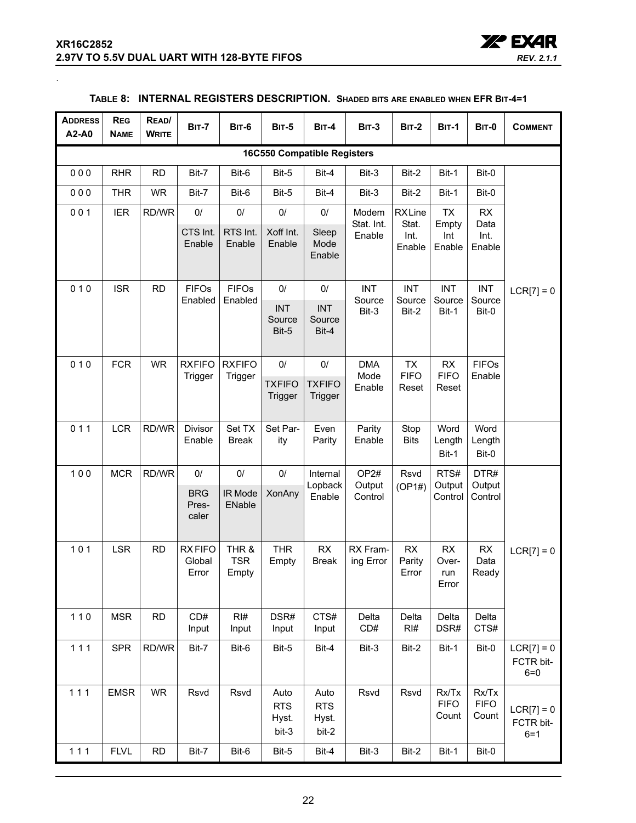<span id="page-21-0"></span>.



| <b>ADDRESS</b><br>A2-A0            | <b>REG</b><br><b>NAME</b> | READ/<br><b>WRITE</b> | <b>BIT-7</b>                       | <b>BIT-6</b>                 | <b>BIT-5</b>                         | $BIT-4$                               | <b>BIT-3</b>                          | <b>BIT-2</b>                      | <b>BIT-1</b>                  | <b>BIT-0</b>                  | <b>COMMENT</b>                       |
|------------------------------------|---------------------------|-----------------------|------------------------------------|------------------------------|--------------------------------------|---------------------------------------|---------------------------------------|-----------------------------------|-------------------------------|-------------------------------|--------------------------------------|
| <b>16C550 Compatible Registers</b> |                           |                       |                                    |                              |                                      |                                       |                                       |                                   |                               |                               |                                      |
| 000                                | <b>RHR</b>                | <b>RD</b>             | Bit-7                              | Bit-6                        | Bit-5                                | Bit-4                                 | Bit-3                                 | Bit-2                             | Bit-1                         | Bit-0                         |                                      |
| 000                                | <b>THR</b>                | <b>WR</b>             | Bit-7                              | Bit-6                        | Bit-5                                | Bit-4                                 | Bit-3                                 | Bit-2                             | Bit-1                         | Bit-0                         |                                      |
| 001                                | <b>IER</b>                | RD/WR                 | 0/                                 | $0/$                         | $0/$                                 | $0/$                                  | Modem<br>Stat. Int.                   | <b>RXLine</b><br>Stat.            | <b>TX</b><br>Empty            | <b>RX</b><br>Data             |                                      |
|                                    |                           |                       | CTS Int.<br>Enable                 | RTS Int.<br>Enable           | Xoff Int.<br>Enable                  | Sleep<br>Mode<br>Enable               | Enable                                | Int.<br>Enable                    | Int<br>Enable                 | Int.<br>Enable                |                                      |
| 010                                | <b>ISR</b>                | <b>RD</b>             | <b>FIFOs</b><br>Enabled            | <b>FIFOs</b><br>Enabled      | 0/<br><b>INT</b><br>Source<br>Bit-5  | $0/$<br><b>INT</b><br>Source<br>Bit-4 | <b>INT</b><br>Source<br>Bit-3         | <b>INT</b><br>Source<br>Bit-2     | <b>INT</b><br>Source<br>Bit-1 | <b>INT</b><br>Source<br>Bit-0 | $LCR[7] = 0$                         |
| 010                                | <b>FCR</b>                | <b>WR</b>             | <b>RXFIFO</b><br>Trigger           | <b>RXFIFO</b><br>Trigger     | $0/$<br><b>TXFIFO</b><br>Trigger     | 0/<br><b>TXFIFO</b><br>Trigger        | <b>DMA</b><br>Mode<br>Enable          | <b>TX</b><br><b>FIFO</b><br>Reset | RX<br><b>FIFO</b><br>Reset    | <b>FIFOs</b><br>Enable        |                                      |
| 011                                | <b>LCR</b>                | RD/WR                 | Divisor<br>Enable                  | Set TX<br><b>Break</b>       | Set Par-<br>ity                      | Even<br>Parity                        | Parity<br>Enable                      | Stop<br><b>Bits</b>               | Word<br>Length<br>Bit-1       | Word<br>Length<br>Bit-0       |                                      |
| 100                                | <b>MCR</b>                | RD/WR                 | 0/<br><b>BRG</b><br>Pres-<br>caler | 0/<br>IR Mode<br>ENable      | $0/$<br><b>XonAny</b>                | Internal<br>Lopback<br>Enable         | OP <sub>2#</sub><br>Output<br>Control | Rsvd<br>(OP1#)                    | RTS#<br>Output<br>Control     | DTR#<br>Output<br>Control     |                                      |
| $101$                              | <b>LSR</b>                | <b>RD</b>             | <b>RXFIFO</b><br>Global<br>Error   | THR &<br><b>TSR</b><br>Empty | <b>THR</b><br>Empty                  | RX<br><b>Break</b>                    | RX Fram-<br>ing Error                 | RX<br>Parity<br>Error             | RX<br>Over-<br>run<br>Error   | RX<br>Data<br>Ready           | $LCR[7] = 0$                         |
| $110$                              | <b>MSR</b>                | RD                    | CD#<br>Input                       | RI#<br>Input                 | DSR#<br>Input                        | CTS#<br>Input                         | Delta<br>CD#                          | Delta<br>RI#                      | Delta<br>DSR#                 | Delta<br>CTS#                 |                                      |
| 111                                | <b>SPR</b>                | RD/WR                 | Bit-7                              | Bit-6                        | Bit-5                                | Bit-4                                 | Bit-3                                 | Bit-2                             | Bit-1                         | Bit-0                         | $LCR[7] = 0$<br>FCTR bit-<br>$6 = 0$ |
| 111                                | <b>EMSR</b>               | <b>WR</b>             | Rsvd                               | Rsvd                         | Auto<br><b>RTS</b><br>Hyst.<br>bit-3 | Auto<br><b>RTS</b><br>Hyst.<br>bit-2  | Rsvd                                  | Rsvd                              | Rx/Tx<br><b>FIFO</b><br>Count | Rx/Tx<br><b>FIFO</b><br>Count | $LCR[7] = 0$<br>FCTR bit-<br>$6 = 1$ |
| 111                                | <b>FLVL</b>               | <b>RD</b>             | Bit-7                              | Bit-6                        | Bit-5                                | Bit-4                                 | Bit-3                                 | Bit-2                             | Bit-1                         | Bit-0                         |                                      |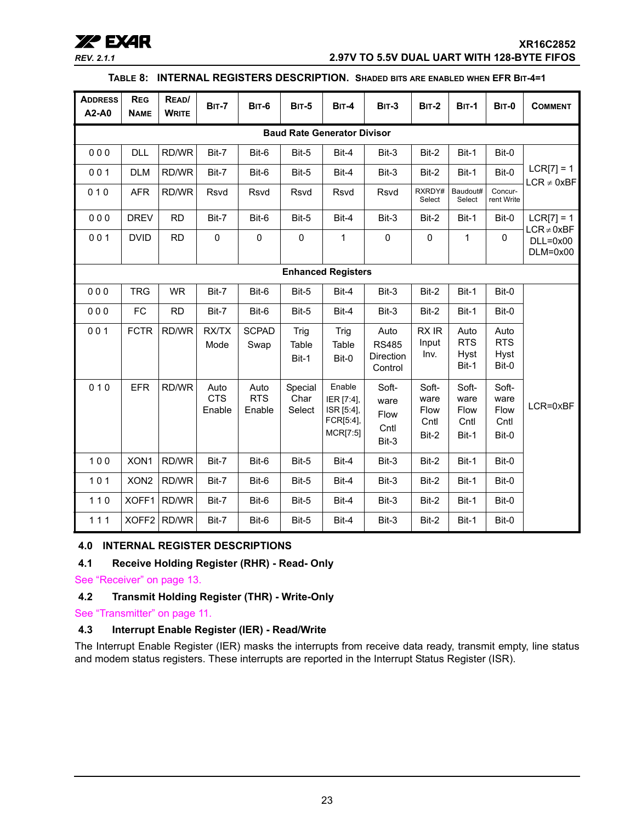## **XX<sup>\*</sup> EXAR**<br>REV. 2.1.1 **XR16C2852**<br>2.97V TO 5.5V DUAL UART WITH 128-BYTE FIFOS *REV. 2.1.1* **2.97V TO 5.5V DUAL UART WITH 128-BYTE FIFOS**

#### **TABLE 8: INTERNAL REGISTERS DESCRIPTION. SHADED BITS ARE ENABLED WHEN EFR BIT-4=1**

| <b>ADDRESS</b><br>A2-A0            | <b>REG</b><br><b>NAME</b> | READ/<br><b>WRITE</b> | <b>BIT-7</b>                 | <b>BIT-6</b>                 | <b>BIT-5</b>              | BIT-4                                                       | <b>BIT-3</b>                                 | <b>BIT-2</b>                           | <b>BIT-1</b>                                  | <b>BIT-0</b>                           | <b>COMMENT</b>                  |
|------------------------------------|---------------------------|-----------------------|------------------------------|------------------------------|---------------------------|-------------------------------------------------------------|----------------------------------------------|----------------------------------------|-----------------------------------------------|----------------------------------------|---------------------------------|
| <b>Baud Rate Generator Divisor</b> |                           |                       |                              |                              |                           |                                                             |                                              |                                        |                                               |                                        |                                 |
| 000                                | <b>DLL</b>                | RD/WR                 | Bit-7                        | Bit-6                        | Bit-5                     | Bit-4                                                       | Bit-3                                        | Bit-2                                  | Bit-1                                         | Bit-0                                  |                                 |
| 001                                | <b>DLM</b>                | RD/WR                 | Bit-7                        | Bit-6                        | Bit-5                     | Bit-4                                                       | Bit-3                                        | Bit-2                                  | Bit-1                                         | Bit-0                                  | $LCR[7] = 1$<br>$LCR \neq 0xBF$ |
| 010                                | <b>AFR</b>                | RD/WR                 | Rsvd                         | Rsvd                         | Rsvd                      | Rsvd                                                        | Rsvd                                         | RXRDY#<br>Select                       | Baudout#<br>Select                            | Concur-<br>rent Write                  |                                 |
| 000                                | <b>DREV</b>               | <b>RD</b>             | Bit-7                        | Bit-6                        | Bit-5                     | Bit-4                                                       | Bit-3                                        | Bit-2                                  | Bit-1                                         | Bit-0                                  | $LCR[7] = 1$<br>$LCR \neq 0xBF$ |
| 001                                | <b>DVID</b>               | <b>RD</b>             | 0                            | $\pmb{0}$                    | $\pmb{0}$                 | 1                                                           | $\pmb{0}$                                    | $\mathbf 0$                            | 1                                             | $\mathbf 0$                            | $DLL=0x00$<br>$DLM=0x00$        |
| <b>Enhanced Registers</b>          |                           |                       |                              |                              |                           |                                                             |                                              |                                        |                                               |                                        |                                 |
| 000                                | <b>TRG</b>                | <b>WR</b>             | Bit-7                        | Bit-6                        | Bit-5                     | Bit-4                                                       | Bit-3                                        | Bit-2                                  | Bit-1                                         | Bit-0                                  |                                 |
| 000                                | FC                        | <b>RD</b>             | Bit-7                        | Bit-6                        | Bit-5                     | Bit-4                                                       | Bit-3                                        | Bit-2                                  | Bit-1                                         | Bit-0                                  |                                 |
| 001                                | <b>FCTR</b>               | RD/WR                 | <b>RX/TX</b><br>Mode         | <b>SCPAD</b><br>Swap         | Trig<br>Table<br>Bit-1    | Trig<br>Table<br>Bit-0                                      | Auto<br><b>RS485</b><br>Direction<br>Control | RX IR<br>Input<br>Inv.                 | Auto<br><b>RTS</b><br><b>Hyst</b><br>Bit-1    | Auto<br><b>RTS</b><br>Hyst<br>Bit-0    |                                 |
| 010                                | <b>EFR</b>                | RD/WR                 | Auto<br><b>CTS</b><br>Enable | Auto<br><b>RTS</b><br>Enable | Special<br>Char<br>Select | Enable<br>IER [7:4],<br>ISR [5:4],<br>FCR[5:4],<br>MCR[7:5] | Soft-<br>ware<br>Flow<br>Cntl<br>Bit-3       | Soft-<br>ware<br>Flow<br>Cntl<br>Bit-2 | Soft-<br>ware<br><b>Flow</b><br>Cntl<br>Bit-1 | Soft-<br>ware<br>Flow<br>Cntl<br>Bit-0 | LCR=0xBF                        |
| 100                                | XON1                      | RD/WR                 | Bit-7                        | Bit-6                        | Bit-5                     | Bit-4                                                       | Bit-3                                        | Bit-2                                  | Bit-1                                         | Bit-0                                  |                                 |
| 101                                | XON <sub>2</sub>          | RD/WR                 | Bit-7                        | Bit-6                        | Bit-5                     | Bit-4                                                       | Bit-3                                        | Bit-2                                  | Bit-1                                         | Bit-0                                  |                                 |
| $110$                              | XOFF1                     | RD/WR                 | Bit-7                        | Bit-6                        | Bit-5                     | Bit-4                                                       | Bit-3                                        | Bit-2                                  | Bit-1                                         | Bit-0                                  |                                 |
| 111                                | XOFF <sub>2</sub>         | RD/WR                 | Bit-7                        | Bit-6                        | Bit-5                     | Bit-4                                                       | Bit-3                                        | Bit-2                                  | Bit-1                                         | Bit-0                                  |                                 |

## <span id="page-22-0"></span>**4.0 INTERNAL REGISTER DESCRIPTIONS**

## <span id="page-22-1"></span>**4.1 Receive Holding Register (RHR) - Read- Only**

[See "Receiver" on page](#page-12-0) 13.

## <span id="page-22-2"></span>**4.2 Transmit Holding Register (THR) - Write-Only**

## [See "Transmitter" on page](#page-10-1) 11.

## <span id="page-22-3"></span>**4.3 Interrupt Enable Register (IER) - Read/Write**

The Interrupt Enable Register (IER) masks the interrupts from receive data ready, transmit empty, line status and modem status registers. These interrupts are reported in the Interrupt Status Register (ISR).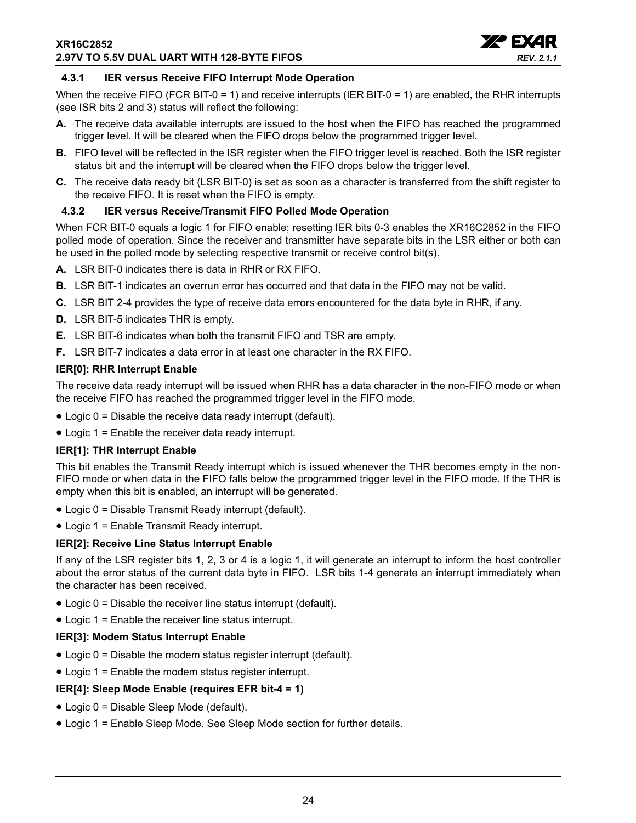

## <span id="page-23-0"></span>**4.3.1 IER versus Receive FIFO Interrupt Mode Operation**

When the receive FIFO (FCR BIT-0 = 1) and receive interrupts (IER BIT-0 = 1) are enabled, the RHR interrupts (see ISR bits 2 and 3) status will reflect the following:

- **A.** The receive data available interrupts are issued to the host when the FIFO has reached the programmed trigger level. It will be cleared when the FIFO drops below the programmed trigger level.
- **B.** FIFO level will be reflected in the ISR register when the FIFO trigger level is reached. Both the ISR register status bit and the interrupt will be cleared when the FIFO drops below the trigger level.
- **C.** The receive data ready bit (LSR BIT-0) is set as soon as a character is transferred from the shift register to the receive FIFO. It is reset when the FIFO is empty.

## <span id="page-23-1"></span>**4.3.2 IER versus Receive/Transmit FIFO Polled Mode Operation**

When FCR BIT-0 equals a logic 1 for FIFO enable; resetting IER bits 0-3 enables the XR16C2852 in the FIFO polled mode of operation. Since the receiver and transmitter have separate bits in the LSR either or both can be used in the polled mode by selecting respective transmit or receive control bit(s).

- **A.** LSR BIT-0 indicates there is data in RHR or RX FIFO.
- **B.** LSR BIT-1 indicates an overrun error has occurred and that data in the FIFO may not be valid.
- **C.** LSR BIT 2-4 provides the type of receive data errors encountered for the data byte in RHR, if any.
- **D.** LSR BIT-5 indicates THR is empty.
- **E.** LSR BIT-6 indicates when both the transmit FIFO and TSR are empty.
- **F.** LSR BIT-7 indicates a data error in at least one character in the RX FIFO.

#### **IER[0]: RHR Interrupt Enable**

The receive data ready interrupt will be issued when RHR has a data character in the non-FIFO mode or when the receive FIFO has reached the programmed trigger level in the FIFO mode.

- Logic 0 = Disable the receive data ready interrupt (default).
- Logic 1 = Enable the receiver data ready interrupt.

#### **IER[1]: THR Interrupt Enable**

This bit enables the Transmit Ready interrupt which is issued whenever the THR becomes empty in the non-FIFO mode or when data in the FIFO falls below the programmed trigger level in the FIFO mode. If the THR is empty when this bit is enabled, an interrupt will be generated.

- Logic 0 = Disable Transmit Ready interrupt (default).
- Logic 1 = Enable Transmit Ready interrupt.

## **IER[2]: Receive Line Status Interrupt Enable**

If any of the LSR register bits 1, 2, 3 or 4 is a logic 1, it will generate an interrupt to inform the host controller about the error status of the current data byte in FIFO. LSR bits 1-4 generate an interrupt immediately when the character has been received.

- Logic 0 = Disable the receiver line status interrupt (default).
- Logic 1 = Enable the receiver line status interrupt.

#### **IER[3]: Modem Status Interrupt Enable**

- Logic 0 = Disable the modem status register interrupt (default).
- Logic 1 = Enable the modem status register interrupt.

## **IER[4]: Sleep Mode Enable (requires EFR bit-4 = 1)**

- Logic 0 = Disable Sleep Mode (default).
- Logic 1 = Enable Sleep Mode. See Sleep Mode section for further details.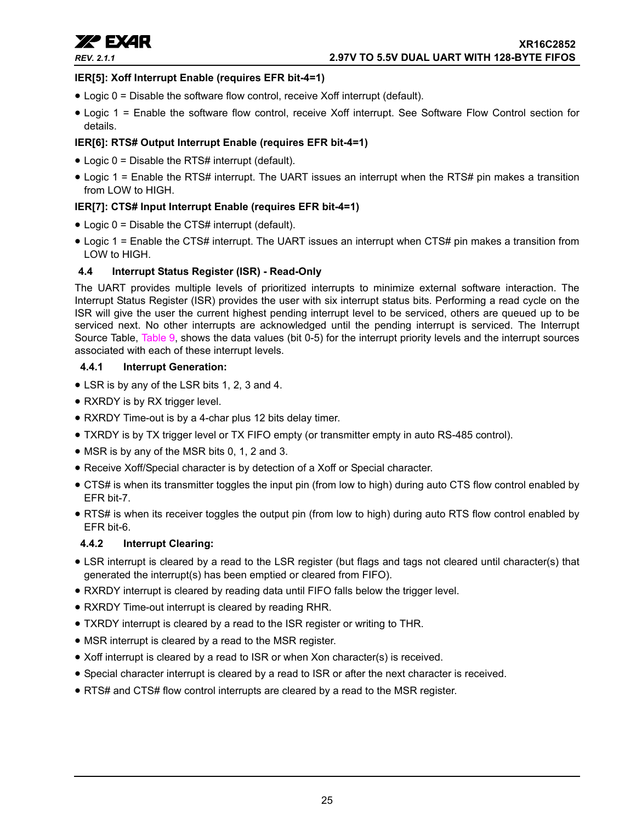

## **IER[5]: Xoff Interrupt Enable (requires EFR bit-4=1)**

- Logic 0 = Disable the software flow control, receive Xoff interrupt (default).
- Logic 1 = Enable the software flow control, receive Xoff interrupt. See Software Flow Control section for details.

## **IER[6]: RTS# Output Interrupt Enable (requires EFR bit-4=1)**

- Logic 0 = Disable the RTS# interrupt (default).
- Logic 1 = Enable the RTS# interrupt. The UART issues an interrupt when the RTS# pin makes a transition from LOW to HIGH.

## **IER[7]: CTS# Input Interrupt Enable (requires EFR bit-4=1)**

- Logic 0 = Disable the CTS# interrupt (default).
- Logic 1 = Enable the CTS# interrupt. The UART issues an interrupt when CTS# pin makes a transition from LOW to HIGH.

## <span id="page-24-2"></span>**4.4 Interrupt Status Register (ISR) - Read-Only**

The UART provides multiple levels of prioritized interrupts to minimize external software interaction. The Interrupt Status Register (ISR) provides the user with six interrupt status bits. Performing a read cycle on the ISR will give the user the current highest pending interrupt level to be serviced, others are queued up to be serviced next. No other interrupts are acknowledged until the pending interrupt is serviced. The Interrupt Source Table, [Table](#page-25-0) 9, shows the data values (bit 0-5) for the interrupt priority levels and the interrupt sources associated with each of these interrupt levels.

## <span id="page-24-0"></span>**4.4.1 Interrupt Generation:**

- LSR is by any of the LSR bits 1, 2, 3 and 4.
- RXRDY is by RX trigger level.
- RXRDY Time-out is by a 4-char plus 12 bits delay timer.
- TXRDY is by TX trigger level or TX FIFO empty (or transmitter empty in auto RS-485 control).
- MSR is by any of the MSR bits 0, 1, 2 and 3.
- Receive Xoff/Special character is by detection of a Xoff or Special character.
- CTS# is when its transmitter toggles the input pin (from low to high) during auto CTS flow control enabled by EFR bit-7.
- RTS# is when its receiver toggles the output pin (from low to high) during auto RTS flow control enabled by EFR bit-6.

## <span id="page-24-1"></span>**4.4.2 Interrupt Clearing:**

- LSR interrupt is cleared by a read to the LSR register (but flags and tags not cleared until character(s) that generated the interrupt(s) has been emptied or cleared from FIFO).
- RXRDY interrupt is cleared by reading data until FIFO falls below the trigger level.
- RXRDY Time-out interrupt is cleared by reading RHR.
- TXRDY interrupt is cleared by a read to the ISR register or writing to THR.
- MSR interrupt is cleared by a read to the MSR register.
- Xoff interrupt is cleared by a read to ISR or when Xon character(s) is received.
- Special character interrupt is cleared by a read to ISR or after the next character is received.
- RTS# and CTS# flow control interrupts are cleared by a read to the MSR register.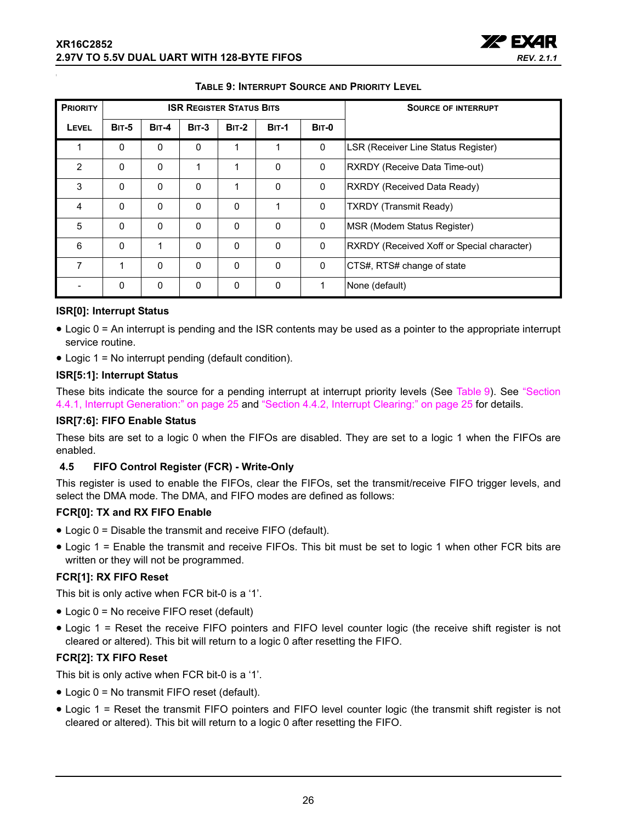

<span id="page-25-0"></span>

| <b>PRIORITY</b> |              |              |          | <b>ISR REGISTER STATUS BITS</b> |              | <b>SOURCE OF INTERRUPT</b> |                                            |
|-----------------|--------------|--------------|----------|---------------------------------|--------------|----------------------------|--------------------------------------------|
| LEVEL           | <b>BIT-5</b> | <b>BIT-4</b> | $BIT-3$  | <b>BIT-2</b>                    | <b>BIT-1</b> | <b>BIT-0</b>               |                                            |
| 1               | 0            | 0            | 0        | 1                               | 1            | 0                          | <b>LSR (Receiver Line Status Register)</b> |
| $\overline{2}$  | $\mathbf{0}$ | $\Omega$     | 1        | 1                               | $\Omega$     | 0                          | RXRDY (Receive Data Time-out)              |
| 3               | $\mathbf{0}$ | 0            | 0        | 1                               | 0            | $\mathbf 0$                | <b>RXRDY (Received Data Ready)</b>         |
| $\overline{4}$  | $\mathbf{0}$ | $\Omega$     | 0        | 0                               | 1            | 0                          | <b>TXRDY</b> (Transmit Ready)              |
| 5               | $\Omega$     | $\Omega$     | $\Omega$ | $\Omega$                        | $\Omega$     | $\Omega$                   | MSR (Modem Status Register)                |
| 6               | $\mathbf{0}$ | 1            | 0        | 0                               | $\Omega$     | $\mathbf 0$                | RXRDY (Received Xoff or Special character) |
| 7               | 1            | $\Omega$     | 0        | 0                               | $\Omega$     | $\mathbf 0$                | CTS#, RTS# change of state                 |
|                 | $\mathbf{0}$ | $\Omega$     | $\Omega$ | 0                               | $\Omega$     | 1                          | None (default)                             |

#### **TABLE 9: INTERRUPT SOURCE AND PRIORITY LEVEL**

## **ISR[0]: Interrupt Status**

- Logic 0 = An interrupt is pending and the ISR contents may be used as a pointer to the appropriate interrupt service routine.
- Logic 1 = No interrupt pending (default condition).

#### **ISR[5:1]: Interrupt Status**

These bits indicate the source for a pending interrupt at interrupt priority levels (See [Table](#page-25-0) 9). See ["Section](#page-24-0)  [4.4.1, Interrupt Generation:" on page](#page-24-0) 25 and ["Section 4.4.2, Interrupt Clearing:" on page](#page-24-1) 25 for details.

#### **ISR[7:6]: FIFO Enable Status**

These bits are set to a logic 0 when the FIFOs are disabled. They are set to a logic 1 when the FIFOs are enabled.

#### <span id="page-25-1"></span>**4.5 FIFO Control Register (FCR) - Write-Only**

This register is used to enable the FIFOs, clear the FIFOs, set the transmit/receive FIFO trigger levels, and select the DMA mode. The DMA, and FIFO modes are defined as follows:

#### **FCR[0]: TX and RX FIFO Enable**

- Logic 0 = Disable the transmit and receive FIFO (default).
- Logic 1 = Enable the transmit and receive FIFOs. This bit must be set to logic 1 when other FCR bits are written or they will not be programmed.

#### **FCR[1]: RX FIFO Reset**

This bit is only active when FCR bit-0 is a '1'.

- Logic 0 = No receive FIFO reset (default)
- Logic 1 = Reset the receive FIFO pointers and FIFO level counter logic (the receive shift register is not cleared or altered). This bit will return to a logic 0 after resetting the FIFO.

## **FCR[2]: TX FIFO Reset**

This bit is only active when FCR bit-0 is a '1'.

- Logic 0 = No transmit FIFO reset (default).
- Logic 1 = Reset the transmit FIFO pointers and FIFO level counter logic (the transmit shift register is not cleared or altered). This bit will return to a logic 0 after resetting the FIFO.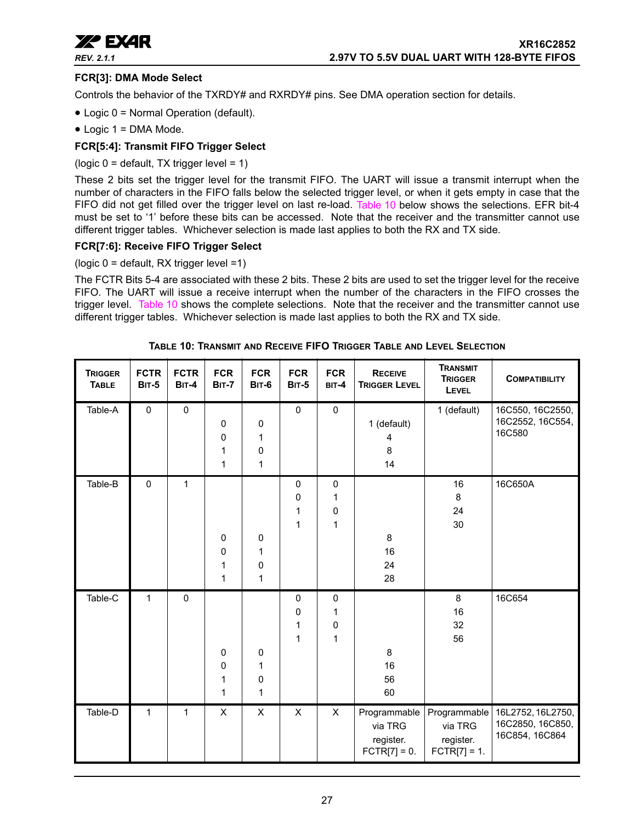

## **FCR[3]: DMA Mode Select**

Controls the behavior of the TXRDY# and RXRDY# pins. See DMA operation section for details.

- Logic 0 = Normal Operation (default).
- Logic 1 = DMA Mode.

## **FCR[5:4]: Transmit FIFO Trigger Select**

(logic  $0 =$  default, TX trigger level = 1)

These 2 bits set the trigger level for the transmit FIFO. The UART will issue a transmit interrupt when the number of characters in the FIFO falls below the selected trigger level, or when it gets empty in case that the FIFO did not get filled over the trigger level on last re-load. [Table](#page-26-0) 10 below shows the selections. EFR bit-4 must be set to '1' before these bits can be accessed. Note that the receiver and the transmitter cannot use different trigger tables. Whichever selection is made last applies to both the RX and TX side.

### **FCR[7:6]: Receive FIFO Trigger Select**

(logic 0 = default, RX trigger level =1)

The FCTR Bits 5-4 are associated with these 2 bits. These 2 bits are used to set the trigger level for the receive FIFO. The UART will issue a receive interrupt when the number of the characters in the FIFO crosses the trigger level. [Table](#page-26-0) 10 shows the complete selections. Note that the receiver and the transmitter cannot use different trigger tables. Whichever selection is made last applies to both the RX and TX side.

<span id="page-26-0"></span>

| <b>TRIGGER</b><br><b>TABLE</b> | <b>FCTR</b><br><b>BIT-5</b> | <b>FCTR</b><br><b>BIT-4</b> | <b>FCR</b><br><b>BIT-7</b> | <b>FCR</b><br><b>BIT-6</b> | <b>FCR</b><br><b>BIT-5</b> | <b>FCR</b><br>BIT-4       | <b>RECEIVE</b><br><b>TRIGGER LEVEL</b>                 | <b>TRANSMIT</b><br><b>TRIGGER</b><br>LEVEL             | <b>COMPATIBILITY</b>                                    |
|--------------------------------|-----------------------------|-----------------------------|----------------------------|----------------------------|----------------------------|---------------------------|--------------------------------------------------------|--------------------------------------------------------|---------------------------------------------------------|
| Table-A                        | $\pmb{0}$                   | $\pmb{0}$                   | 0<br>0<br>1<br>1           | 0<br>1<br>0<br>1           | $\pmb{0}$                  | $\pmb{0}$                 | 1 (default)<br>4<br>8<br>14                            | 1 (default)                                            | 16C550, 16C2550,<br>16C2552, 16C554,<br>16C580          |
| Table-B                        | $\pmb{0}$                   | 1                           | 0<br>0<br>1<br>1           | 0<br>1<br>0<br>1           | 0<br>0<br>1<br>1           | 0<br>1<br>0<br>1          | 8<br>16<br>24<br>28                                    | 16<br>8<br>24<br>30                                    | 16C650A                                                 |
| Table-C                        | $\mathbf{1}$                | $\mathbf 0$                 | 0<br>0<br>1<br>1           | 0<br>1<br>0<br>1           | 0<br>0<br>1<br>1           | 0<br>1<br>0<br>1          | 8<br>16<br>56<br>60                                    | 8<br>16<br>32<br>56                                    | 16C654                                                  |
| Table-D                        | 1                           | $\mathbf{1}$                | $\pmb{\times}$             | $\pmb{\times}$             | $\times$                   | $\boldsymbol{\mathsf{X}}$ | Programmable<br>via TRG<br>register.<br>$FCTR[7] = 0.$ | Programmable<br>via TRG<br>register.<br>$FCTR[7] = 1.$ | 16L2752, 16L2750,<br>16C2850, 16C850,<br>16C854, 16C864 |

**TABLE 10: TRANSMIT AND RECEIVE FIFO TRIGGER TABLE AND LEVEL SELECTION**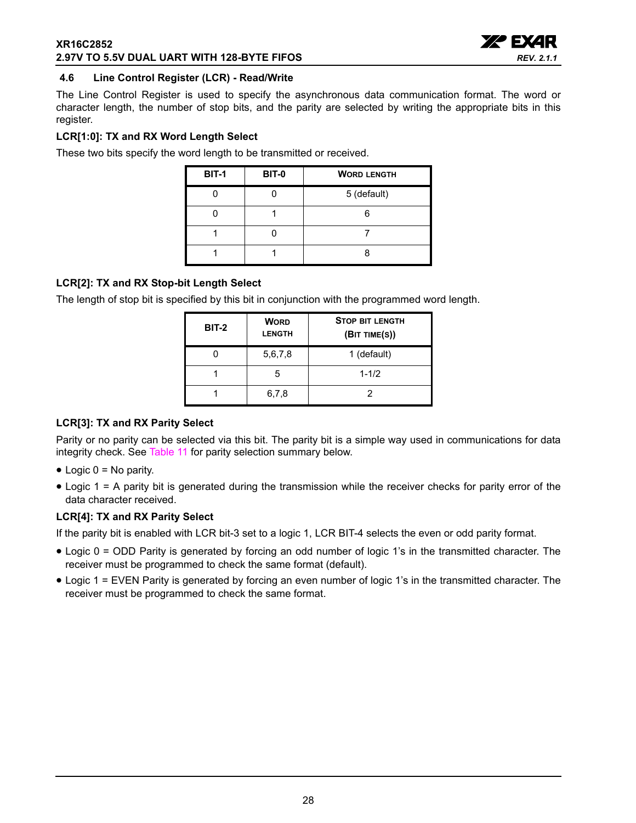### **XR16C2852 2.97V TO 5.5V DUAL UART WITH 128-BYTE FIFOS**



## <span id="page-27-0"></span>**4.6 Line Control Register (LCR) - Read/Write**

The Line Control Register is used to specify the asynchronous data communication format. The word or character length, the number of stop bits, and the parity are selected by writing the appropriate bits in this register.

## **LCR[1:0]: TX and RX Word Length Select**

These two bits specify the word length to be transmitted or received.

| <b>BIT-1</b> | <b>BIT-0</b> | <b>WORD LENGTH</b> |
|--------------|--------------|--------------------|
|              |              | 5 (default)        |
|              |              |                    |
|              |              |                    |
|              |              |                    |

## **LCR[2]: TX and RX Stop-bit Length Select**

The length of stop bit is specified by this bit in conjunction with the programmed word length.

| BIT-2 | <b>WORD</b><br><b>LENGTH</b> | <b>STOP BIT LENGTH</b><br>(BIT TIME(S)) |  |  |
|-------|------------------------------|-----------------------------------------|--|--|
|       | 5,6,7,8                      | 1 (default)                             |  |  |
|       | 5                            | $1 - 1/2$                               |  |  |
|       | 6,7,8                        | 2                                       |  |  |

## **LCR[3]: TX and RX Parity Select**

Parity or no parity can be selected via this bit. The parity bit is a simple way used in communications for data integrity check. See [Table](#page-28-0) 11 for parity selection summary below.

- $\bullet$  Logic 0 = No parity.
- Logic 1 = A parity bit is generated during the transmission while the receiver checks for parity error of the data character received.

## **LCR[4]: TX and RX Parity Select**

If the parity bit is enabled with LCR bit-3 set to a logic 1, LCR BIT-4 selects the even or odd parity format.

- Logic 0 = ODD Parity is generated by forcing an odd number of logic 1's in the transmitted character. The receiver must be programmed to check the same format (default).
- Logic 1 = EVEN Parity is generated by forcing an even number of logic 1's in the transmitted character. The receiver must be programmed to check the same format.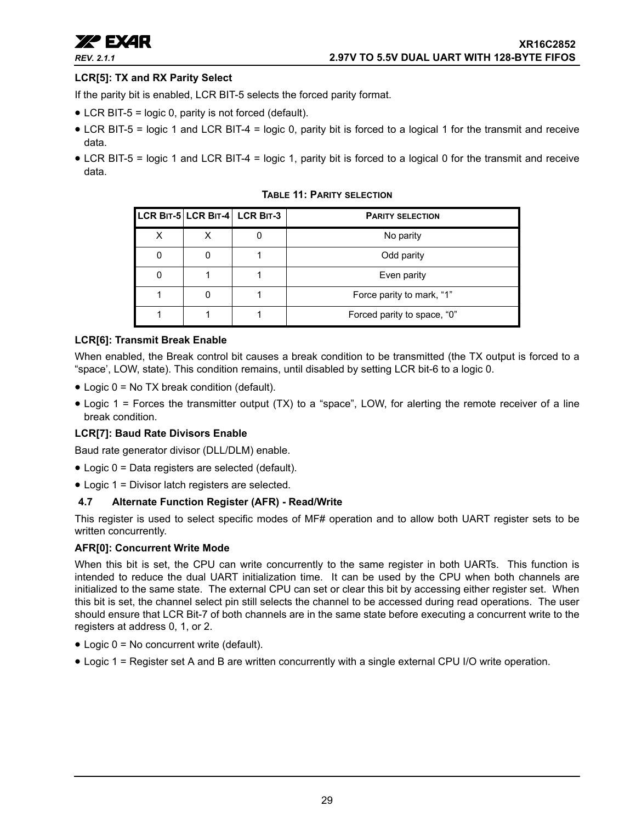

## **LCR[5]: TX and RX Parity Select**

If the parity bit is enabled, LCR BIT-5 selects the forced parity format.

- LCR BIT-5 = logic 0, parity is not forced (default).
- LCR BIT-5 = logic 1 and LCR BIT-4 = logic 0, parity bit is forced to a logical 1 for the transmit and receive data.
- <span id="page-28-0"></span>• LCR BIT-5 = logic 1 and LCR BIT-4 = logic 1, parity bit is forced to a logical 0 for the transmit and receive data.

**TABLE 11: PARITY SELECTION**

|   |   | LCR BIT-5 LCR BIT-4 LCR BIT-3 | <b>PARITY SELECTION</b>     |
|---|---|-------------------------------|-----------------------------|
| x | x |                               | No parity                   |
|   |   |                               | Odd parity                  |
| 0 |   |                               | Even parity                 |
|   |   |                               | Force parity to mark, "1"   |
|   |   |                               | Forced parity to space, "0" |

#### **LCR[6]: Transmit Break Enable**

When enabled, the Break control bit causes a break condition to be transmitted (the TX output is forced to a "space', LOW, state). This condition remains, until disabled by setting LCR bit-6 to a logic 0.

- Logic 0 = No TX break condition (default).
- Logic 1 = Forces the transmitter output (TX) to a "space", LOW, for alerting the remote receiver of a line break condition.

## **LCR[7]: Baud Rate Divisors Enable**

Baud rate generator divisor (DLL/DLM) enable.

- Logic 0 = Data registers are selected (default).
- Logic 1 = Divisor latch registers are selected.

## <span id="page-28-1"></span>**4.7 Alternate Function Register (AFR) - Read/Write**

This register is used to select specific modes of MF# operation and to allow both UART register sets to be written concurrently.

#### **AFR[0]: Concurrent Write Mode**

When this bit is set, the CPU can write concurrently to the same register in both UARTs. This function is intended to reduce the dual UART initialization time. It can be used by the CPU when both channels are initialized to the same state. The external CPU can set or clear this bit by accessing either register set. When this bit is set, the channel select pin still selects the channel to be accessed during read operations. The user should ensure that LCR Bit-7 of both channels are in the same state before executing a concurrent write to the registers at address 0, 1, or 2.

- Logic 0 = No concurrent write (default).
- Logic 1 = Register set A and B are written concurrently with a single external CPU I/O write operation.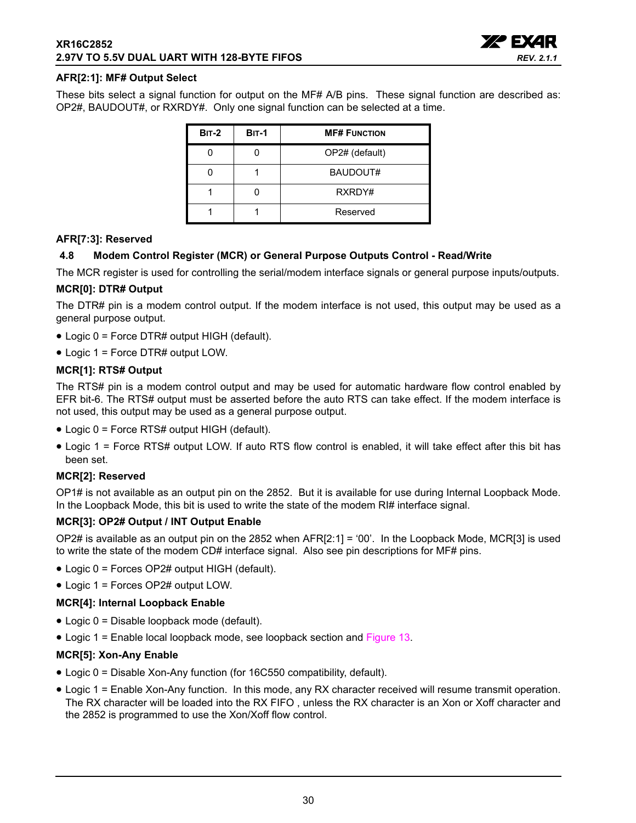

#### **AFR[2:1]: MF# Output Select**

These bits select a signal function for output on the MF# A/B pins. These signal function are described as: OP2#, BAUDOUT#, or RXRDY#. Only one signal function can be selected at a time.

| $BIT-2$ | <b>BIT-1</b> | <b>MF# FUNCTION</b> |
|---------|--------------|---------------------|
|         |              | OP2# (default)      |
|         |              | BAUDOUT#            |
|         |              | RXRDY#              |
|         |              | Reserved            |

#### **AFR[7:3]: Reserved**

#### <span id="page-29-0"></span>**4.8 Modem Control Register (MCR) or General Purpose Outputs Control - Read/Write**

The MCR register is used for controlling the serial/modem interface signals or general purpose inputs/outputs.

#### **MCR[0]: DTR# Output**

The DTR# pin is a modem control output. If the modem interface is not used, this output may be used as a general purpose output.

- Logic 0 = Force DTR# output HIGH (default).
- Logic 1 = Force DTR# output LOW.

#### **MCR[1]: RTS# Output**

The RTS# pin is a modem control output and may be used for automatic hardware flow control enabled by EFR bit-6. The RTS# output must be asserted before the auto RTS can take effect. If the modem interface is not used, this output may be used as a general purpose output.

- Logic 0 = Force RTS# output HIGH (default).
- Logic 1 = Force RTS# output LOW. If auto RTS flow control is enabled, it will take effect after this bit has been set.

#### **MCR[2]: Reserved**

OP1# is not available as an output pin on the 2852. But it is available for use during Internal Loopback Mode. In the Loopback Mode, this bit is used to write the state of the modem RI# interface signal.

#### **MCR[3]: OP2# Output / INT Output Enable**

OP2# is available as an output pin on the 2852 when AFR[2:1] = '00'. In the Loopback Mode, MCR[3] is used to write the state of the modem CD# interface signal. Also see pin descriptions for MF# pins.

- Logic 0 = Forces OP2# output HIGH (default).
- Logic 1 = Forces OP2# output LOW.

#### **MCR[4]: Internal Loopback Enable**

- Logic 0 = Disable loopback mode (default).
- Logic 1 = Enable local loopback mode, see loopback section and [Figure](#page-19-0) 13.

## **MCR[5]: Xon-Any Enable**

- Logic 0 = Disable Xon-Any function (for 16C550 compatibility, default).
- Logic 1 = Enable Xon-Any function. In this mode, any RX character received will resume transmit operation. The RX character will be loaded into the RX FIFO , unless the RX character is an Xon or Xoff character and the 2852 is programmed to use the Xon/Xoff flow control.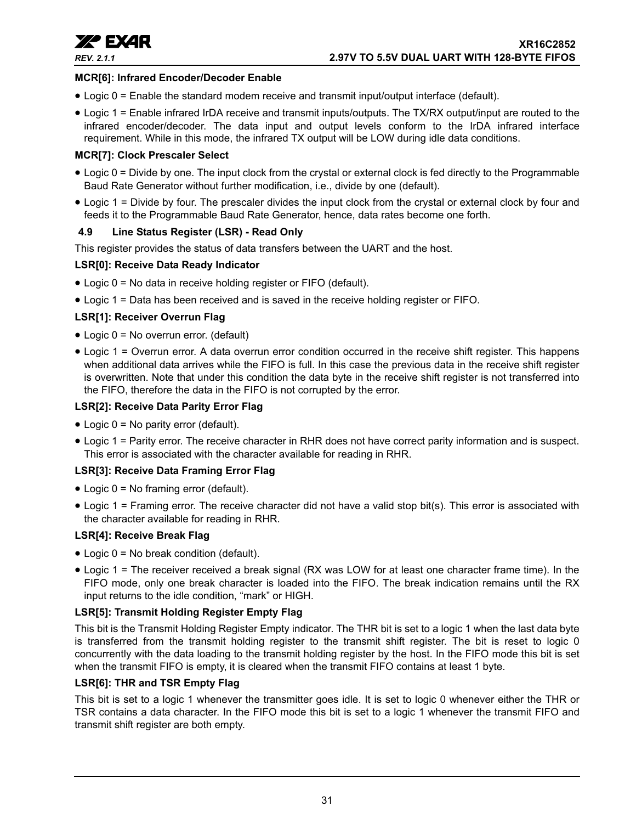

### **MCR[6]: Infrared Encoder/Decoder Enable**

- Logic 0 = Enable the standard modem receive and transmit input/output interface (default).
- Logic 1 = Enable infrared IrDA receive and transmit inputs/outputs. The TX/RX output/input are routed to the infrared encoder/decoder. The data input and output levels conform to the IrDA infrared interface requirement. While in this mode, the infrared TX output will be LOW during idle data conditions.

## **MCR[7]: Clock Prescaler Select**

- Logic 0 = Divide by one. The input clock from the crystal or external clock is fed directly to the Programmable Baud Rate Generator without further modification, i.e., divide by one (default).
- Logic 1 = Divide by four. The prescaler divides the input clock from the crystal or external clock by four and feeds it to the Programmable Baud Rate Generator, hence, data rates become one forth.

#### <span id="page-30-0"></span>**4.9 Line Status Register (LSR) - Read Only**

This register provides the status of data transfers between the UART and the host.

#### **LSR[0]: Receive Data Ready Indicator**

- Logic 0 = No data in receive holding register or FIFO (default).
- Logic 1 = Data has been received and is saved in the receive holding register or FIFO.

#### **LSR[1]: Receiver Overrun Flag**

- Logic 0 = No overrun error. (default)
- Logic 1 = Overrun error. A data overrun error condition occurred in the receive shift register. This happens when additional data arrives while the FIFO is full. In this case the previous data in the receive shift register is overwritten. Note that under this condition the data byte in the receive shift register is not transferred into the FIFO, therefore the data in the FIFO is not corrupted by the error.

### **LSR[2]: Receive Data Parity Error Flag**

- Logic 0 = No parity error (default).
- Logic 1 = Parity error. The receive character in RHR does not have correct parity information and is suspect. This error is associated with the character available for reading in RHR.

## **LSR[3]: Receive Data Framing Error Flag**

- Logic 0 = No framing error (default).
- Logic 1 = Framing error. The receive character did not have a valid stop bit(s). This error is associated with the character available for reading in RHR.

## **LSR[4]: Receive Break Flag**

- Logic 0 = No break condition (default).
- Logic 1 = The receiver received a break signal (RX was LOW for at least one character frame time). In the FIFO mode, only one break character is loaded into the FIFO. The break indication remains until the RX input returns to the idle condition, "mark" or HIGH.

## **LSR[5]: Transmit Holding Register Empty Flag**

This bit is the Transmit Holding Register Empty indicator. The THR bit is set to a logic 1 when the last data byte is transferred from the transmit holding register to the transmit shift register. The bit is reset to logic 0 concurrently with the data loading to the transmit holding register by the host. In the FIFO mode this bit is set when the transmit FIFO is empty, it is cleared when the transmit FIFO contains at least 1 byte.

#### **LSR[6]: THR and TSR Empty Flag**

This bit is set to a logic 1 whenever the transmitter goes idle. It is set to logic 0 whenever either the THR or TSR contains a data character. In the FIFO mode this bit is set to a logic 1 whenever the transmit FIFO and transmit shift register are both empty.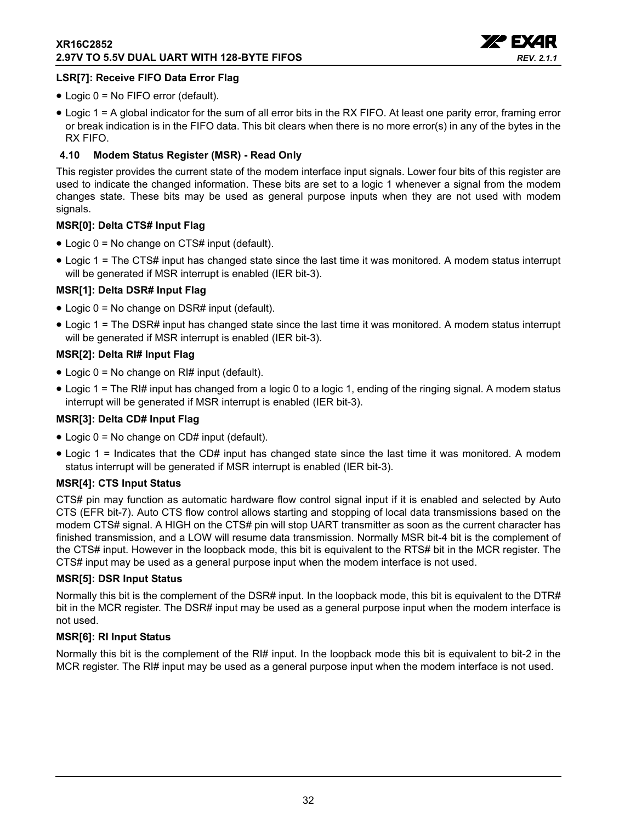

## **LSR[7]: Receive FIFO Data Error Flag**

- Logic 0 = No FIFO error (default).
- Logic 1 = A global indicator for the sum of all error bits in the RX FIFO. At least one parity error, framing error or break indication is in the FIFO data. This bit clears when there is no more error(s) in any of the bytes in the RX FIFO.

## <span id="page-31-0"></span>**4.10 Modem Status Register (MSR) - Read Only**

This register provides the current state of the modem interface input signals. Lower four bits of this register are used to indicate the changed information. These bits are set to a logic 1 whenever a signal from the modem changes state. These bits may be used as general purpose inputs when they are not used with modem signals.

## **MSR[0]: Delta CTS# Input Flag**

- Logic 0 = No change on CTS# input (default).
- Logic 1 = The CTS# input has changed state since the last time it was monitored. A modem status interrupt will be generated if MSR interrupt is enabled (IER bit-3).

## **MSR[1]: Delta DSR# Input Flag**

- Logic 0 = No change on DSR# input (default).
- Logic 1 = The DSR# input has changed state since the last time it was monitored. A modem status interrupt will be generated if MSR interrupt is enabled (IER bit-3).

## **MSR[2]: Delta RI# Input Flag**

- Logic 0 = No change on RI# input (default).
- Logic 1 = The RI# input has changed from a logic 0 to a logic 1, ending of the ringing signal. A modem status interrupt will be generated if MSR interrupt is enabled (IER bit-3).

## **MSR[3]: Delta CD# Input Flag**

- Logic 0 = No change on CD# input (default).
- Logic 1 = Indicates that the CD# input has changed state since the last time it was monitored. A modem status interrupt will be generated if MSR interrupt is enabled (IER bit-3).

## **MSR[4]: CTS Input Status**

CTS# pin may function as automatic hardware flow control signal input if it is enabled and selected by Auto CTS (EFR bit-7). Auto CTS flow control allows starting and stopping of local data transmissions based on the modem CTS# signal. A HIGH on the CTS# pin will stop UART transmitter as soon as the current character has finished transmission, and a LOW will resume data transmission. Normally MSR bit-4 bit is the complement of the CTS# input. However in the loopback mode, this bit is equivalent to the RTS# bit in the MCR register. The CTS# input may be used as a general purpose input when the modem interface is not used.

## **MSR[5]: DSR Input Status**

Normally this bit is the complement of the DSR# input. In the loopback mode, this bit is equivalent to the DTR# bit in the MCR register. The DSR# input may be used as a general purpose input when the modem interface is not used.

## **MSR[6]: RI Input Status**

Normally this bit is the complement of the RI# input. In the loopback mode this bit is equivalent to bit-2 in the MCR register. The RI# input may be used as a general purpose input when the modem interface is not used.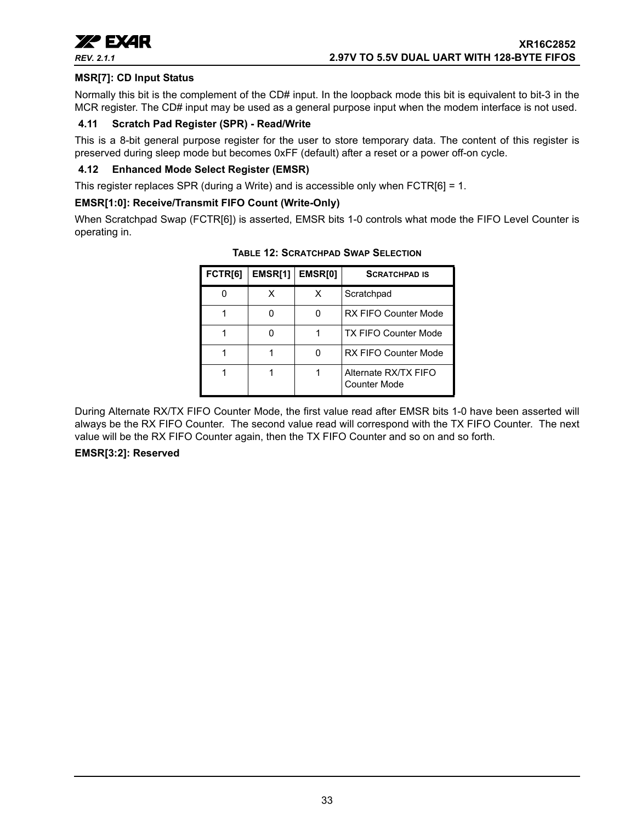

## **MSR[7]: CD Input Status**

Normally this bit is the complement of the CD# input. In the loopback mode this bit is equivalent to bit-3 in the MCR register. The CD# input may be used as a general purpose input when the modem interface is not used.

### <span id="page-32-1"></span>**4.11 Scratch Pad Register (SPR) - Read/Write**

This is a 8-bit general purpose register for the user to store temporary data. The content of this register is preserved during sleep mode but becomes 0xFF (default) after a reset or a power off-on cycle.

#### <span id="page-32-2"></span>**4.12 Enhanced Mode Select Register (EMSR)**

This register replaces SPR (during a Write) and is accessible only when FCTR[6] = 1.

#### **EMSR[1:0]: Receive/Transmit FIFO Count (Write-Only)**

<span id="page-32-0"></span>When Scratchpad Swap (FCTR[6]) is asserted, EMSR bits 1-0 controls what mode the FIFO Level Counter is operating in.

| FCTR[6] | EMSR[1] | <b>EMSRI01</b> | <b>SCRATCHPAD IS</b>                 |
|---------|---------|----------------|--------------------------------------|
| n       | x       | х              | Scratchpad                           |
|         | n       | ŋ              | <b>RX FIFO Counter Mode</b>          |
| 1       | n       | 1              | <b>TX FIFO Counter Mode</b>          |
|         |         | ŋ              | <b>RX FIFO Counter Mode</b>          |
|         |         |                | Alternate RX/TX FIFO<br>Counter Mode |

**TABLE 12: SCRATCHPAD SWAP SELECTION**

During Alternate RX/TX FIFO Counter Mode, the first value read after EMSR bits 1-0 have been asserted will always be the RX FIFO Counter. The second value read will correspond with the TX FIFO Counter. The next value will be the RX FIFO Counter again, then the TX FIFO Counter and so on and so forth.

#### **EMSR[3:2]: Reserved**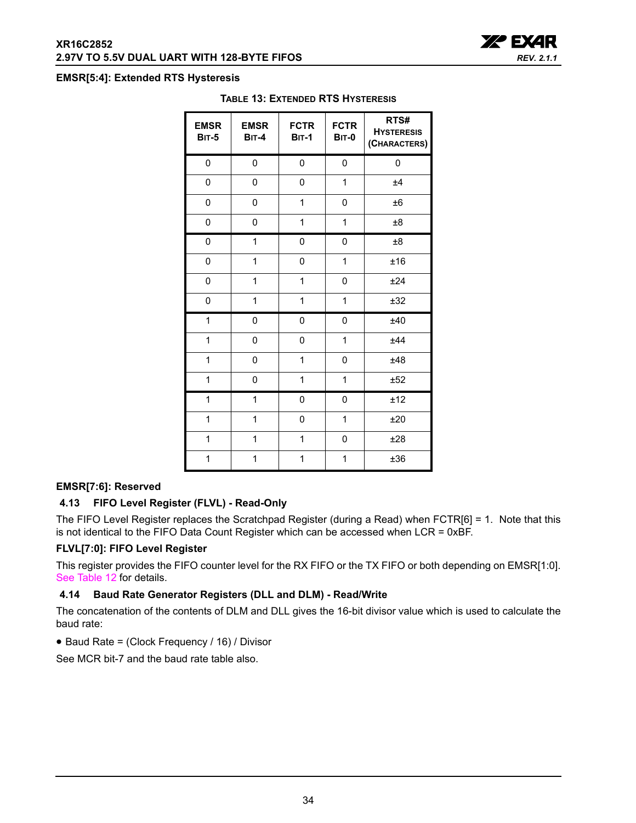

#### <span id="page-33-0"></span>**EMSR[5:4]: Extended RTS Hysteresis**

| <b>EMSR</b><br><b>BIT-5</b> | <b>EMSR</b><br><b>BIT-4</b> | <b>FCTR</b><br><b>BIT-1</b> | <b>FCTR</b><br><b>BIT-0</b> | RTS#<br><b>HYSTERESIS</b><br>(CHARACTERS) |
|-----------------------------|-----------------------------|-----------------------------|-----------------------------|-------------------------------------------|
| 0                           | 0                           | 0                           | 0                           | $\mathbf 0$                               |
| 0                           | 0                           | 0                           | 1                           | ±4                                        |
| 0                           | 0                           | 1                           | 0                           | ±6                                        |
| 0                           | 0                           | 1                           | 1                           | ±8                                        |
| 0                           | 1                           | 0                           | 0                           | ±8                                        |
| 0                           | 1                           | 0                           | 1                           | ±16                                       |
| 0                           | 1                           | 1                           | 0                           | ±24                                       |
| 0                           | 1                           | 1                           | 1                           | ±32                                       |
| 1                           | 0                           | 0                           | 0                           | ±40                                       |
| 1                           | 0                           | 0                           | 1                           | ±44                                       |
| 1                           | 0                           | $\mathbf{1}$                | 0                           | ±48                                       |
| 1                           | 0                           | $\mathbf{1}$                | 1                           | ±52                                       |
| 1                           | 1                           | 0                           | 0                           | ±12                                       |
| $\mathbf 1$                 | 1                           | 0                           | 1                           | ±20                                       |
| 1                           | 1                           | 1                           | 0                           | ±28                                       |
| 1                           | 1                           | 1                           | 1                           | ±36                                       |

#### **TABLE 13: EXTENDED RTS HYSTERESIS**

### **EMSR[7:6]: Reserved**

#### <span id="page-33-1"></span>**4.13 FIFO Level Register (FLVL) - Read-Only**

The FIFO Level Register replaces the Scratchpad Register (during a Read) when FCTR[6] = 1. Note that this is not identical to the FIFO Data Count Register which can be accessed when LCR = 0xBF.

#### **FLVL[7:0]: FIFO Level Register**

This register provides the FIFO counter level for the RX FIFO or the TX FIFO or both depending on EMSR[1:0]. [See Table](#page-32-0) 12 for details.

## <span id="page-33-2"></span>**4.14 Baud Rate Generator Registers (DLL and DLM) - Read/Write**

The concatenation of the contents of DLM and DLL gives the 16-bit divisor value which is used to calculate the baud rate:

• Baud Rate = (Clock Frequency / 16) / Divisor

See MCR bit-7 and the baud rate table also.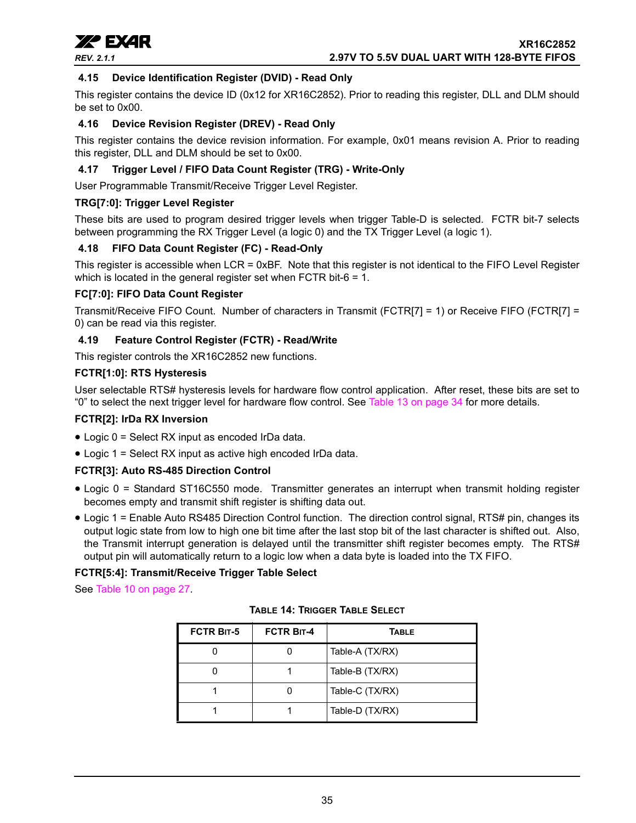

**xxx** EXAR *REV. 2.1.1* **2.97V TO 5.5V DUAL UART WITH 128-BYTE FIFOS**

# <span id="page-34-0"></span>**4.15 Device Identification Register (DVID) - Read Only**

This register contains the device ID (0x12 for XR16C2852). Prior to reading this register, DLL and DLM should be set to 0x00.

#### <span id="page-34-1"></span>**4.16 Device Revision Register (DREV) - Read Only**

This register contains the device revision information. For example, 0x01 means revision A. Prior to reading this register, DLL and DLM should be set to 0x00.

#### <span id="page-34-2"></span>**4.17 Trigger Level / FIFO Data Count Register (TRG) - Write-Only**

User Programmable Transmit/Receive Trigger Level Register.

#### **TRG[7:0]: Trigger Level Register**

These bits are used to program desired trigger levels when trigger Table-D is selected. FCTR bit-7 selects between programming the RX Trigger Level (a logic 0) and the TX Trigger Level (a logic 1).

#### <span id="page-34-3"></span>**4.18 FIFO Data Count Register (FC) - Read-Only**

This register is accessible when LCR = 0xBF. Note that this register is not identical to the FIFO Level Register which is located in the general register set when FCTR bit-6 = 1.

#### **FC[7:0]: FIFO Data Count Register**

Transmit/Receive FIFO Count. Number of characters in Transmit (FCTR[7] = 1) or Receive FIFO (FCTR[7] = 0) can be read via this register.

#### <span id="page-34-4"></span>**4.19 Feature Control Register (FCTR) - Read/Write**

This register controls the XR16C2852 new functions.

#### **FCTR[1:0]: RTS Hysteresis**

User selectable RTS# hysteresis levels for hardware flow control application. After reset, these bits are set to "0" to select the next trigger level for hardware flow control. See Table [13 on page](#page-33-0) 34 for more details.

#### **FCTR[2]: IrDa RX Inversion**

- Logic 0 = Select RX input as encoded IrDa data.
- Logic 1 = Select RX input as active high encoded IrDa data.

#### **FCTR[3]: Auto RS-485 Direction Control**

- Logic 0 = Standard ST16C550 mode. Transmitter generates an interrupt when transmit holding register becomes empty and transmit shift register is shifting data out.
- Logic 1 = Enable Auto RS485 Direction Control function. The direction control signal, RTS# pin, changes its output logic state from low to high one bit time after the last stop bit of the last character is shifted out. Also, the Transmit interrupt generation is delayed until the transmitter shift register becomes empty. The RTS# output pin will automatically return to a logic low when a data byte is loaded into the TX FIFO.

#### **FCTR[5:4]: Transmit/Receive Trigger Table Select**

<span id="page-34-5"></span>See Table [10 on page](#page-26-0) 27.

| <b>FCTR BIT-5</b> | <b>FCTR BIT-4</b> | <b>TABLE</b>    |
|-------------------|-------------------|-----------------|
|                   |                   | Table-A (TX/RX) |
|                   |                   | Table-B (TX/RX) |
|                   |                   | Table-C (TX/RX) |
|                   |                   | Table-D (TX/RX) |

**TABLE 14: TRIGGER TABLE SELECT**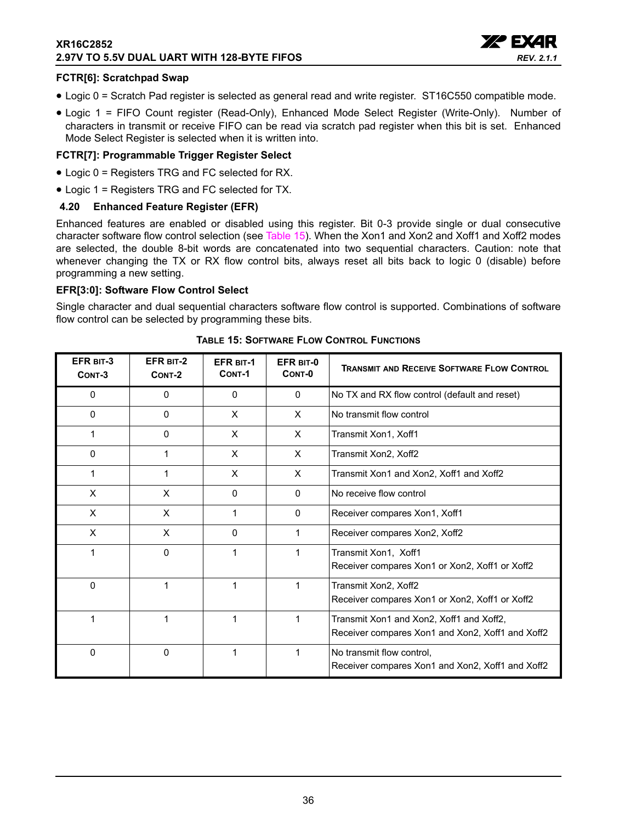## **XR16C2852 2.97V TO 5.5V DUAL UART WITH 128-BYTE FIFOS**



#### **FCTR[6]: Scratchpad Swap**

- Logic 0 = Scratch Pad register is selected as general read and write register. ST16C550 compatible mode.
- Logic 1 = FIFO Count register (Read-Only), Enhanced Mode Select Register (Write-Only). Number of characters in transmit or receive FIFO can be read via scratch pad register when this bit is set. Enhanced Mode Select Register is selected when it is written into.

#### **FCTR[7]: Programmable Trigger Register Select**

- Logic 0 = Registers TRG and FC selected for RX.
- Logic 1 = Registers TRG and FC selected for TX.

#### <span id="page-35-1"></span>**4.20 Enhanced Feature Register (EFR)**

Enhanced features are enabled or disabled using this register. Bit 0-3 provide single or dual consecutive character software flow control selection (see [Table](#page-35-0) 15). When the Xon1 and Xon2 and Xoff1 and Xoff2 modes are selected, the double 8-bit words are concatenated into two sequential characters. Caution: note that whenever changing the TX or RX flow control bits, always reset all bits back to logic 0 (disable) before programming a new setting.

#### **EFR[3:0]: Software Flow Control Select**

Single character and dual sequential characters software flow control is supported. Combinations of software flow control can be selected by programming these bits.

<span id="page-35-0"></span>

| EFR BIT-3<br>CONT-3 | EFR BIT-2<br>CONT-2 | EFR BIT-1<br>CONT-1 | EFR BIT-0<br>CONT-0 | <b>TRANSMIT AND RECEIVE SOFTWARE FLOW CONTROL</b>                                            |
|---------------------|---------------------|---------------------|---------------------|----------------------------------------------------------------------------------------------|
| $\Omega$            | $\mathbf{0}$        | $\mathbf{0}$        | $\mathbf{0}$        | No TX and RX flow control (default and reset)                                                |
| $\mathbf{0}$        | $\mathbf{0}$        | X                   | $\times$            | No transmit flow control                                                                     |
| 1                   | 0                   | X                   | $\times$            | Transmit Xon1, Xoff1                                                                         |
| $\Omega$            |                     | X                   | $\times$            | Transmit Xon2, Xoff2                                                                         |
| 1                   | 1                   | X                   | X                   | Transmit Xon1 and Xon2, Xoff1 and Xoff2                                                      |
| X                   | X                   | 0                   | $\Omega$            | No receive flow control                                                                      |
| X                   | X                   | 1                   | $\mathbf{0}$        | Receiver compares Xon1, Xoff1                                                                |
| X                   | X                   | 0                   |                     | Receiver compares Xon2, Xoff2                                                                |
|                     | $\mathbf 0$         |                     |                     | Transmit Xon1, Xoff1<br>Receiver compares Xon1 or Xon2, Xoff1 or Xoff2                       |
| $\Omega$            | 1                   |                     | 1                   | Transmit Xon2, Xoff2<br>Receiver compares Xon1 or Xon2, Xoff1 or Xoff2                       |
|                     | 1                   |                     | 1                   | Transmit Xon1 and Xon2, Xoff1 and Xoff2,<br>Receiver compares Xon1 and Xon2, Xoff1 and Xoff2 |
| $\mathbf 0$         | 0                   |                     |                     | No transmit flow control.<br>Receiver compares Xon1 and Xon2, Xoff1 and Xoff2                |

| TABLE 15: SOFTWARE FLOW CONTROL FUNCTIONS |  |  |  |  |  |  |
|-------------------------------------------|--|--|--|--|--|--|
|-------------------------------------------|--|--|--|--|--|--|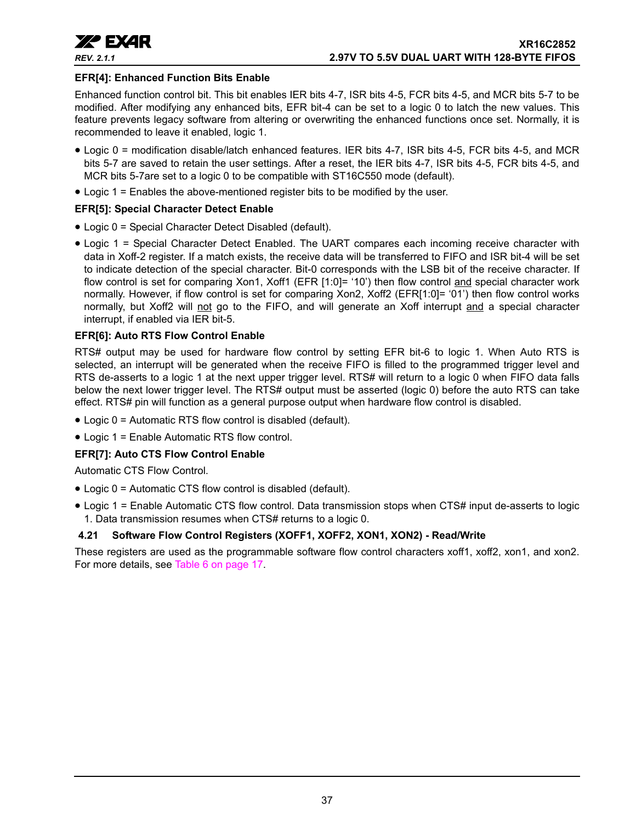

## **EFR[4]: Enhanced Function Bits Enable**

Enhanced function control bit. This bit enables IER bits 4-7, ISR bits 4-5, FCR bits 4-5, and MCR bits 5-7 to be modified. After modifying any enhanced bits, EFR bit-4 can be set to a logic 0 to latch the new values. This feature prevents legacy software from altering or overwriting the enhanced functions once set. Normally, it is recommended to leave it enabled, logic 1.

- Logic 0 = modification disable/latch enhanced features. IER bits 4-7, ISR bits 4-5, FCR bits 4-5, and MCR bits 5-7 are saved to retain the user settings. After a reset, the IER bits 4-7, ISR bits 4-5, FCR bits 4-5, and MCR bits 5-7are set to a logic 0 to be compatible with ST16C550 mode (default).
- Logic 1 = Enables the above-mentioned register bits to be modified by the user.

## **EFR[5]: Special Character Detect Enable**

- Logic 0 = Special Character Detect Disabled (default).
- Logic 1 = Special Character Detect Enabled. The UART compares each incoming receive character with data in Xoff-2 register. If a match exists, the receive data will be transferred to FIFO and ISR bit-4 will be set to indicate detection of the special character. Bit-0 corresponds with the LSB bit of the receive character. If flow control is set for comparing Xon1, Xoff1 (EFR [1:0]= '10') then flow control and special character work normally. However, if flow control is set for comparing Xon2, Xoff2 (EFR[1:0]= '01') then flow control works normally, but Xoff2 will not go to the FIFO, and will generate an Xoff interrupt and a special character interrupt, if enabled via IER bit-5.

## **EFR[6]: Auto RTS Flow Control Enable**

RTS# output may be used for hardware flow control by setting EFR bit-6 to logic 1. When Auto RTS is selected, an interrupt will be generated when the receive FIFO is filled to the programmed trigger level and RTS de-asserts to a logic 1 at the next upper trigger level. RTS# will return to a logic 0 when FIFO data falls below the next lower trigger level. The RTS# output must be asserted (logic 0) before the auto RTS can take effect. RTS# pin will function as a general purpose output when hardware flow control is disabled.

- Logic 0 = Automatic RTS flow control is disabled (default).
- Logic 1 = Enable Automatic RTS flow control.

## **EFR[7]: Auto CTS Flow Control Enable**

Automatic CTS Flow Control.

- Logic 0 = Automatic CTS flow control is disabled (default).
- Logic 1 = Enable Automatic CTS flow control. Data transmission stops when CTS# input de-asserts to logic 1. Data transmission resumes when CTS# returns to a logic 0.

## <span id="page-36-0"></span>**4.21 Software Flow Control Registers (XOFF1, XOFF2, XON1, XON2) - Read/Write**

These registers are used as the programmable software flow control characters xoff1, xoff2, xon1, and xon2. For more details, see Table [6 on page](#page-16-0) 17.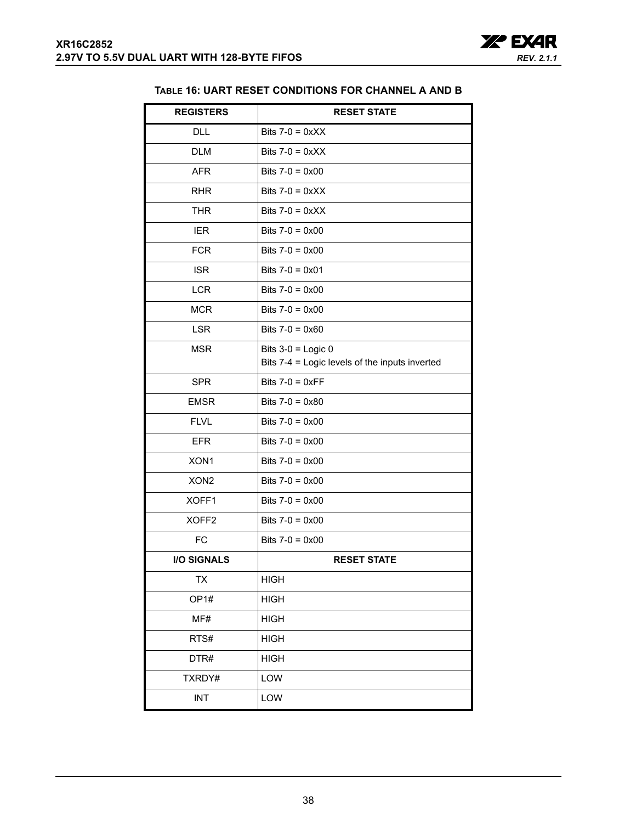

## **TABLE 16: UART RESET CONDITIONS FOR CHANNEL A AND B**

<span id="page-37-0"></span>

| <b>REGISTERS</b>   | <b>RESET STATE</b>                                                     |
|--------------------|------------------------------------------------------------------------|
| DLL                | Bits $7-0 = 0 \times XX$                                               |
| <b>DLM</b>         | Bits $7-0 = 0 \times X$                                                |
| <b>AFR</b>         | Bits $7-0 = 0 \times 00$                                               |
| <b>RHR</b>         | Bits $7-0 = 0 \times X$                                                |
| <b>THR</b>         | Bits $7-0 = 0 \times XX$                                               |
| <b>IER</b>         | Bits $7-0 = 0 \times 00$                                               |
| <b>FCR</b>         | Bits $7-0 = 0 \times 00$                                               |
| <b>ISR</b>         | Bits $7-0 = 0 \times 01$                                               |
| <b>LCR</b>         | Bits $7-0 = 0 \times 00$                                               |
| <b>MCR</b>         | Bits $7-0 = 0 \times 00$                                               |
| <b>LSR</b>         | Bits $7-0 = 0 \times 60$                                               |
| <b>MSR</b>         | Bits $3-0$ = Logic 0<br>Bits 7-4 = Logic levels of the inputs inverted |
| <b>SPR</b>         | Bits $7-0 = 0 \times FF$                                               |
| <b>EMSR</b>        | Bits $7-0 = 0 \times 80$                                               |
| <b>FLVL</b>        | Bits $7-0 = 0 \times 00$                                               |
| <b>EFR</b>         | Bits $7-0 = 0 \times 00$                                               |
| XON1               | Bits $7-0 = 0 \times 00$                                               |
| XON <sub>2</sub>   | Bits $7-0 = 0 \times 00$                                               |
| XOFF1              | Bits $7-0 = 0 \times 00$                                               |
| XOFF <sub>2</sub>  | Bits $7-0 = 0 \times 00$                                               |
| <b>FC</b>          | Bits $7-0 = 0 \times 00$                                               |
| <b>I/O SIGNALS</b> | <b>RESET STATE</b>                                                     |
| TX                 | <b>HIGH</b>                                                            |
| OP1#               | <b>HIGH</b>                                                            |
| MF#                | <b>HIGH</b>                                                            |
| RTS#               | <b>HIGH</b>                                                            |
| DTR#               | <b>HIGH</b>                                                            |
| TXRDY#             | LOW                                                                    |
| INT                | LOW                                                                    |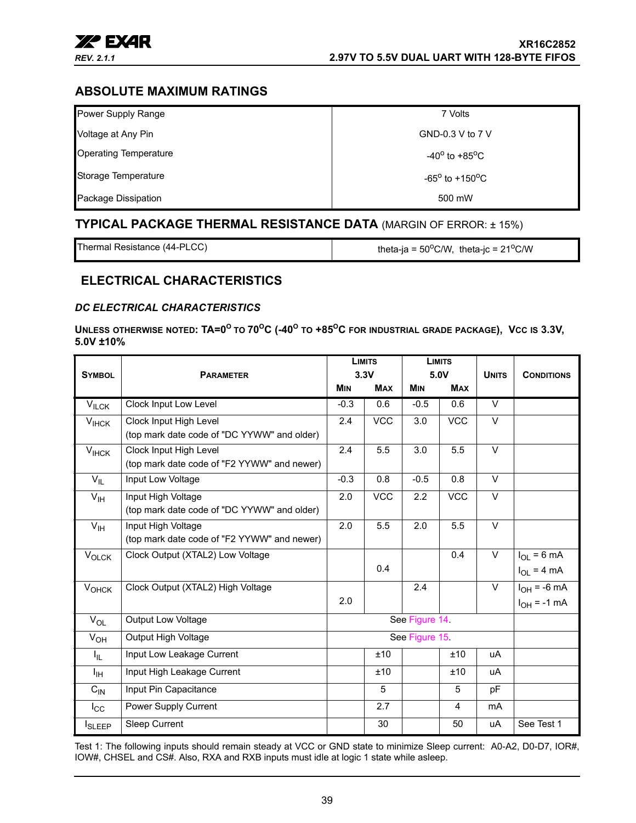

## <span id="page-38-1"></span>**ABSOLUTE MAXIMUM RATINGS**

| Power Supply Range           | 7 Volts                           |
|------------------------------|-----------------------------------|
| Voltage at Any Pin           | GND-0.3 V to 7 V                  |
| <b>Operating Temperature</b> | $-40^{\circ}$ to $+85^{\circ}$ C  |
| Storage Temperature          | $-65^{\circ}$ to $+150^{\circ}$ C |
| Package Dissipation          | 500 mW                            |

## <span id="page-38-2"></span>**TYPICAL PACKAGE THERMAL RESISTANCE DATA** (MARGIN OF ERROR: ± 15%)

Thermal Resistance (44-PLCC) theta-ja =  $50^{\circ}$ C/W, theta-jc =  $21^{\circ}$ C/W

## <span id="page-38-3"></span>**ELECTRICAL CHARACTERISTICS**

#### <span id="page-38-0"></span>*DC ELECTRICAL CHARACTERISTICS*

UNLESS OTHERWISE NOTED: TA=0<sup>°</sup> TO 70<sup>°</sup>C (-40<sup>°</sup> TO +85<sup>°</sup>C FOR INDUSTRIAL GRADE PACKAGE), VCC IS 3.3V, **5.0V ±10%** 

|                           |                                             | <b>LIMITS</b> |               | <b>LIMITS</b> |                   |                   |                   |
|---------------------------|---------------------------------------------|---------------|---------------|---------------|-------------------|-------------------|-------------------|
| <b>SYMBOL</b>             | <b>PARAMETER</b>                            |               | 3.3V          |               | 5.0V              | <b>UNITS</b>      | <b>CONDITIONS</b> |
|                           |                                             | <b>MIN</b>    | <b>MAX</b>    | <b>MIN</b>    | <b>MAX</b>        |                   |                   |
| $V_{ILCK}$                | <b>Clock Input Low Level</b>                | $-0.3$        | 0.6           | $-0.5$        | 0.6               | $\overline{\vee}$ |                   |
| $V_{IHCK}$                | Clock Input High Level                      | 2.4           | <b>VCC</b>    | 3.0           | <b>VCC</b>        | $\vee$            |                   |
|                           | (top mark date code of "DC YYWW" and older) |               |               |               |                   |                   |                   |
| $V_{IHCK}$                | Clock Input High Level                      | 2.4           | 5.5           | 3.0           | 5.5               | $\vee$            |                   |
|                           | (top mark date code of "F2 YYWW" and newer) |               |               |               |                   |                   |                   |
| $V_{IL}$                  | Input Low Voltage                           | $-0.3$        | 0.8           | $-0.5$        | 0.8               | V                 |                   |
| $V_{\text{IH}}$           | Input High Voltage                          | 2.0           | <b>VCC</b>    | 2.2           | $\overline{V}$ CC | $\vee$            |                   |
|                           | (top mark date code of "DC YYWW" and older) |               |               |               |                   |                   |                   |
| $V_{\text{IH}}$           | Input High Voltage                          | 2.0           | 5.5           | 2.0           | 5.5               | $\vee$            |                   |
|                           | (top mark date code of "F2 YYWW" and newer) |               |               |               |                   |                   |                   |
| VOLCK                     | Clock Output (XTAL2) Low Voltage            |               |               |               | 0.4               | $\vee$            | $I_{OL} = 6 mA$   |
|                           |                                             |               | 0.4           |               |                   |                   | $I_{OL}$ = 4 mA   |
| $V_{OHCK}$                | Clock Output (XTAL2) High Voltage           |               |               | 2.4           |                   | $\vee$            | $I_{OH}$ = -6 mA  |
|                           |                                             | 2.0           |               |               |                   |                   | $I_{OH}$ = -1 mA  |
| $V_{OL}$                  | Output Low Voltage                          |               | See Figure 14 |               |                   |                   |                   |
| $V_{OH}$                  | Output High Voltage                         | See Figure 15 |               |               |                   |                   |                   |
| ΙL.                       | Input Low Leakage Current                   |               | ±10           |               | ±10               | uA                |                   |
| ŀщ                        | Input High Leakage Current                  |               | ±10           |               | ±10               | uA                |                   |
| $C_{\text{IN}}$           | Input Pin Capacitance                       |               | 5             |               | 5                 | pF                |                   |
| $I_{\rm CC}$              | Power Supply Current                        |               | 2.7           |               | 4                 | m <sub>A</sub>    |                   |
| <b>I</b> <sub>SLEEP</sub> | Sleep Current                               |               | 30            |               | 50                | uA                | See Test 1        |

Test 1: The following inputs should remain steady at VCC or GND state to minimize Sleep current: A0-A2, D0-D7, IOR#, IOW#, CHSEL and CS#. Also, RXA and RXB inputs must idle at logic 1 state while asleep.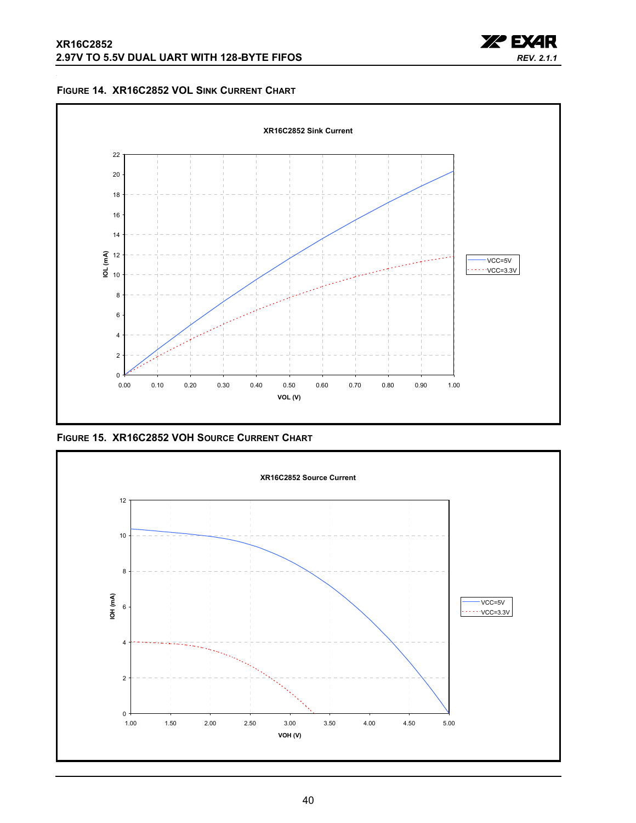

<span id="page-39-0"></span>



<span id="page-39-1"></span>**FIGURE 15. XR16C2852 VOH SOURCE CURRENT CHART**

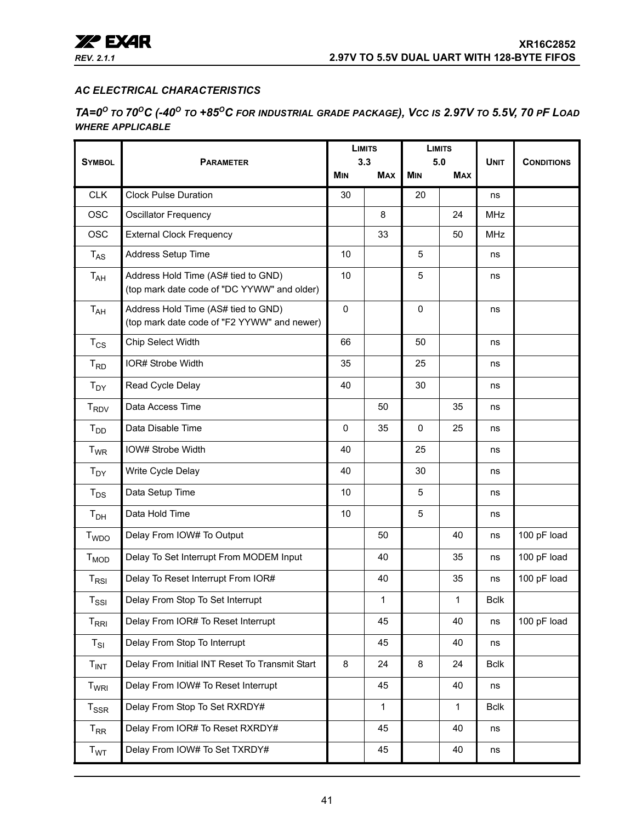

## <span id="page-40-0"></span>*AC ELECTRICAL CHARACTERISTICS*

<span id="page-40-1"></span>*TA=0<sup>O</sup> TO 70OC (-40O TO +85OC FOR INDUSTRIAL GRADE PACKAGE), VCC IS 2.97V TO 5.5V, 70 PF LOAD WHERE APPLICABLE*

|                                               |                                                                                    |            | <b>LIMITS</b><br>3.3 |                | <b>LIMITS</b><br>5.0 |             |                   |
|-----------------------------------------------|------------------------------------------------------------------------------------|------------|----------------------|----------------|----------------------|-------------|-------------------|
| <b>SYMBOL</b>                                 | <b>PARAMETER</b>                                                                   | <b>MIN</b> | <b>MAX</b>           | <b>MIN</b>     | <b>MAX</b>           | <b>UNIT</b> | <b>CONDITIONS</b> |
| <b>CLK</b>                                    | <b>Clock Pulse Duration</b>                                                        | 30         |                      | 20             |                      | ns          |                   |
| <b>OSC</b>                                    | <b>Oscillator Frequency</b>                                                        |            | 8                    |                | 24                   | MHz         |                   |
| <b>OSC</b>                                    | <b>External Clock Frequency</b>                                                    |            | 33                   |                | 50                   | <b>MHz</b>  |                   |
| $T_{AS}$                                      | Address Setup Time                                                                 | 10         |                      | 5              |                      | ns          |                   |
| $T_{AH}$                                      | Address Hold Time (AS# tied to GND)<br>(top mark date code of "DC YYWW" and older) | 10         |                      | 5              |                      | ns          |                   |
| $T_{AH}$                                      | Address Hold Time (AS# tied to GND)<br>(top mark date code of "F2 YYWW" and newer) | 0          |                      | 0              |                      | ns          |                   |
| $T_{CS}$                                      | Chip Select Width                                                                  | 66         |                      | 50             |                      | ns          |                   |
| $T_{RD}$                                      | IOR# Strobe Width                                                                  | 35         |                      | 25             |                      | ns          |                   |
| $T_{DY}$                                      | Read Cycle Delay                                                                   | 40         |                      | 30             |                      | ns          |                   |
| $T_{RDV}$                                     | Data Access Time                                                                   |            | 50                   |                | 35                   | ns          |                   |
| $T_{DD}$                                      | Data Disable Time                                                                  | 0          | 35                   | 0              | 25                   | ns          |                   |
| $T_{WR}$                                      | IOW# Strobe Width                                                                  | 40         |                      | 25             |                      | ns          |                   |
| $T_{DY}$                                      | Write Cycle Delay                                                                  | 40         |                      | 30             |                      | ns          |                   |
| $T_{DS}$                                      | Data Setup Time                                                                    | 10         |                      | 5              |                      | ns          |                   |
| T <sub>DH</sub>                               | Data Hold Time                                                                     | 10         |                      | $\overline{5}$ |                      | ns          |                   |
| T <sub>WDO</sub>                              | Delay From IOW# To Output                                                          |            | 50                   |                | 40                   | ns          | 100 pF load       |
| $T_{MOD}$                                     | Delay To Set Interrupt From MODEM Input                                            |            | 40                   |                | 35                   | ns          | 100 pF load       |
| $T_{RSI}$                                     | Delay To Reset Interrupt From IOR#                                                 |            | 40                   |                | 35                   | ns          | 100 pF load       |
| $T_{\rm SSI}$                                 | Delay From Stop To Set Interrupt                                                   |            | 1                    |                | 1                    | <b>Bclk</b> |                   |
| $\mathsf{T}_{\mathsf{R}\mathsf{R}\mathsf{I}}$ | Delay From IOR# To Reset Interrupt                                                 |            | 45                   |                | 40                   | ns          | 100 pF load       |
| $T_{SI}$                                      | Delay From Stop To Interrupt                                                       |            | 45                   |                | 40                   | ns          |                   |
| T <sub>INT</sub>                              | Delay From Initial INT Reset To Transmit Start                                     | 8          | 24                   | 8              | 24                   | <b>Bclk</b> |                   |
| T <sub>WRI</sub>                              | Delay From IOW# To Reset Interrupt                                                 | 45         |                      |                | 40                   | ns          |                   |
| $T_{\rm SSR}$                                 | Delay From Stop To Set RXRDY#                                                      |            | $\mathbf{1}$         |                | $\mathbf{1}$         | <b>Bclk</b> |                   |
| $T_{RR}$                                      | Delay From IOR# To Reset RXRDY#                                                    |            | 45                   |                | 40                   | ns          |                   |
| T <sub>WT</sub>                               | Delay From IOW# To Set TXRDY#                                                      |            | 45                   |                | 40                   | ns          |                   |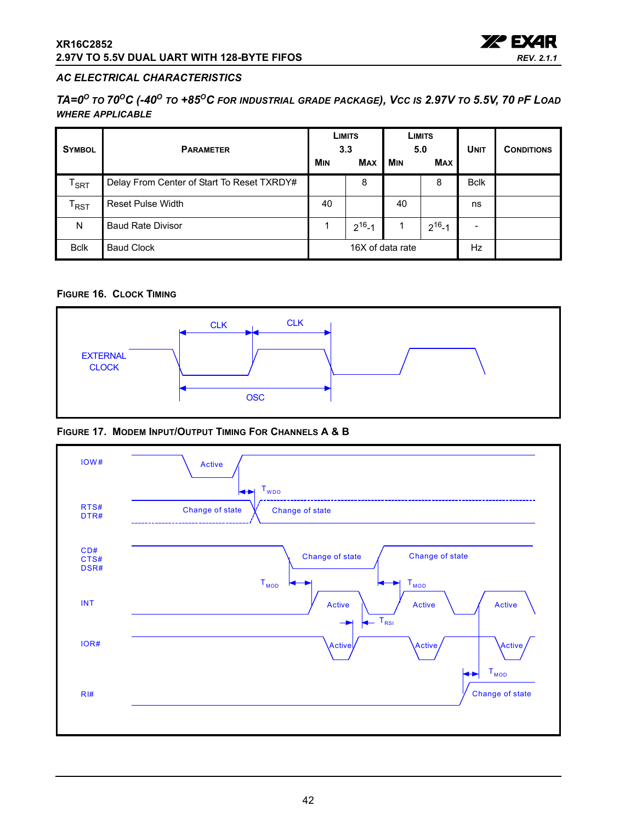

## *AC ELECTRICAL CHARACTERISTICS*

*TA=0<sup>O</sup> TO 70OC (-40O TO +85OC FOR INDUSTRIAL GRADE PACKAGE), VCC IS 2.97V TO 5.5V, 70 PF LOAD WHERE APPLICABLE*

| <b>SYMBOL</b>               | <b>PARAMETER</b>                           |                  | <b>LIMITS</b><br>3.3 |            | <b>LIMITS</b><br>5.0 |             | <b>CONDITIONS</b> |
|-----------------------------|--------------------------------------------|------------------|----------------------|------------|----------------------|-------------|-------------------|
|                             |                                            | <b>MIN</b>       | <b>MAX</b>           | <b>MIN</b> | <b>MAX</b>           |             |                   |
| $\mathsf{T}_{\mathsf{SRT}}$ | Delay From Center of Start To Reset TXRDY# |                  | 8                    |            | 8                    | <b>Bclk</b> |                   |
| $\mathsf{T}_{\mathsf{RST}}$ | <b>Reset Pulse Width</b>                   | 40               |                      | 40         |                      | ns          |                   |
| N                           | <b>Baud Rate Divisor</b>                   |                  | $2^{16} - 1$         |            | $2^{16} - 1$         |             |                   |
| <b>Bclk</b>                 | <b>Baud Clock</b>                          | 16X of data rate |                      |            |                      | Hz          |                   |

## <span id="page-41-0"></span>**FIGURE 16. CLOCK TIMING**



<span id="page-41-1"></span>**FIGURE 17. MODEM INPUT/OUTPUT TIMING FOR CHANNELS A & B**

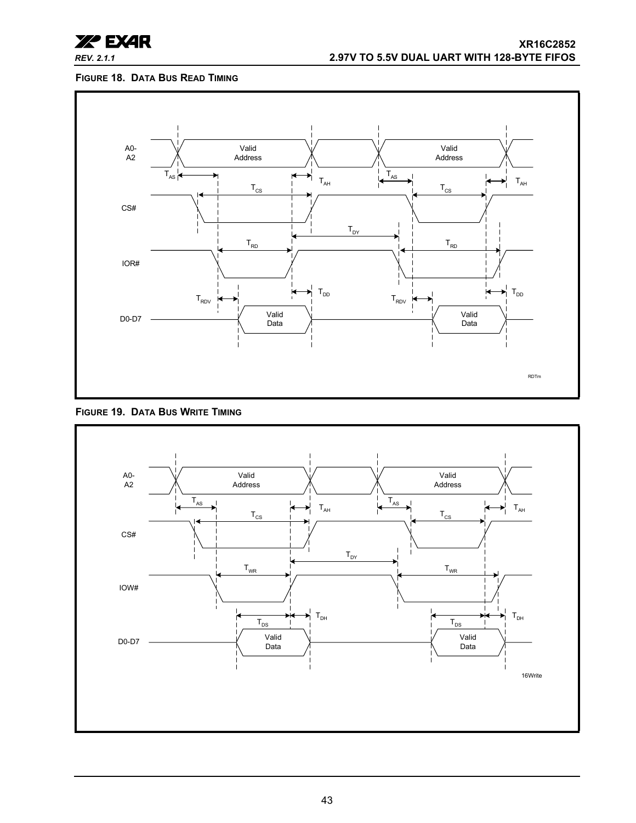

## <span id="page-42-0"></span>**FIGURE 18. DATA BUS READ TIMING**



<span id="page-42-1"></span>

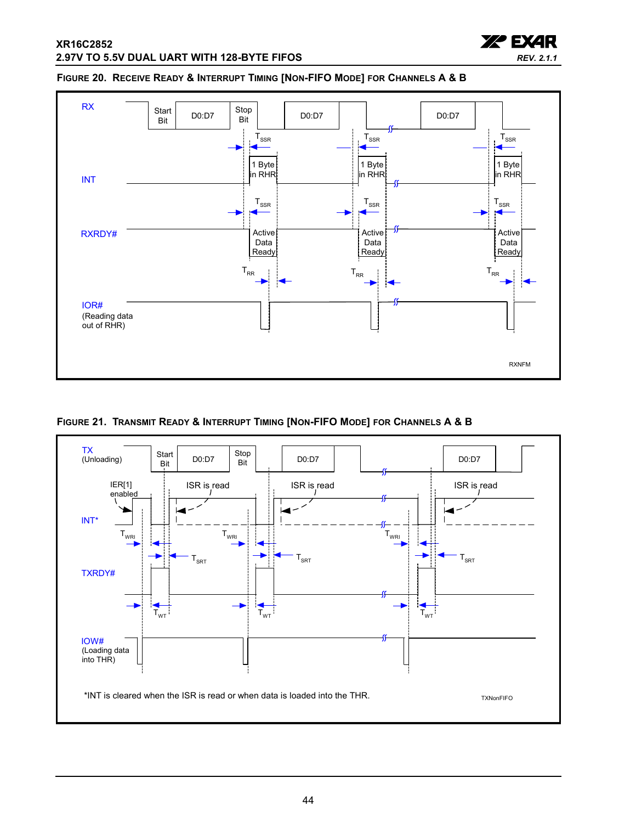

#### <span id="page-43-0"></span>**FIGURE 20. RECEIVE READY & INTERRUPT TIMING [NON-FIFO MODE] FOR CHANNELS A & B**



<span id="page-43-1"></span>**FIGURE 21. TRANSMIT READY & INTERRUPT TIMING [NON-FIFO MODE] FOR CHANNELS A & B**

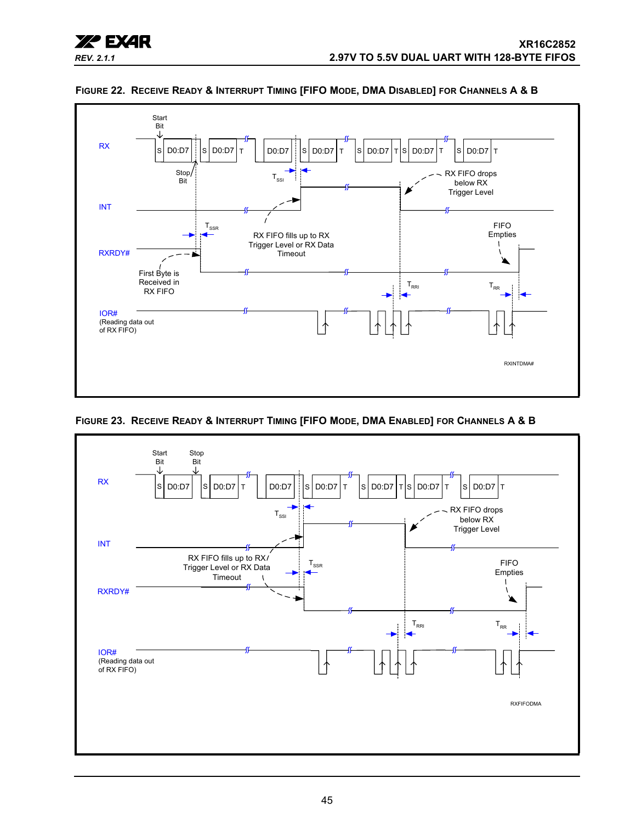



#### <span id="page-44-0"></span>**FIGURE 22. RECEIVE READY & INTERRUPT TIMING [FIFO MODE, DMA DISABLED] FOR CHANNELS A & B**

<span id="page-44-1"></span>

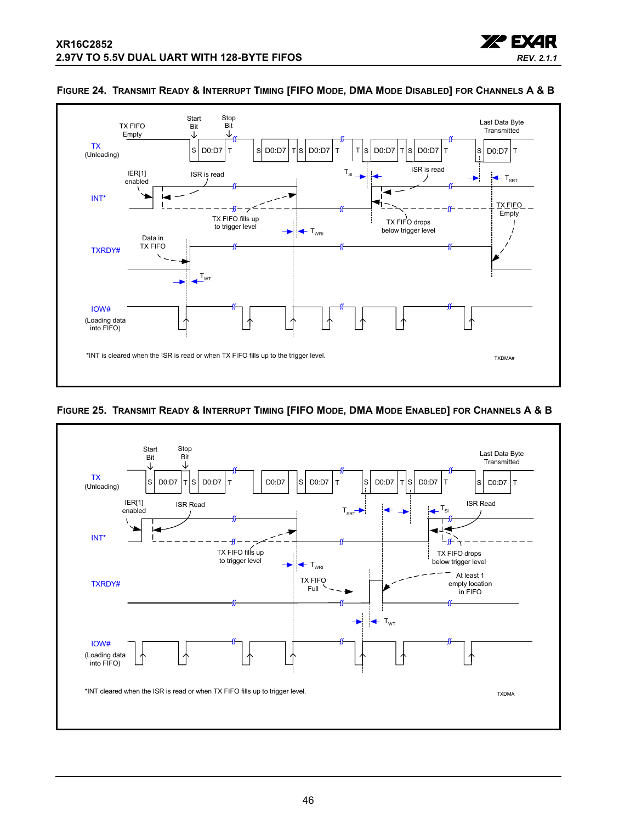



#### <span id="page-45-1"></span>**FIGURE 24. TRANSMIT READY & INTERRUPT TIMING [FIFO MODE, DMA MODE DISABLED] FOR CHANNELS A & B**

## <span id="page-45-0"></span>**FIGURE 25. TRANSMIT READY & INTERRUPT TIMING [FIFO MODE, DMA MODE ENABLED] FOR CHANNELS A & B**

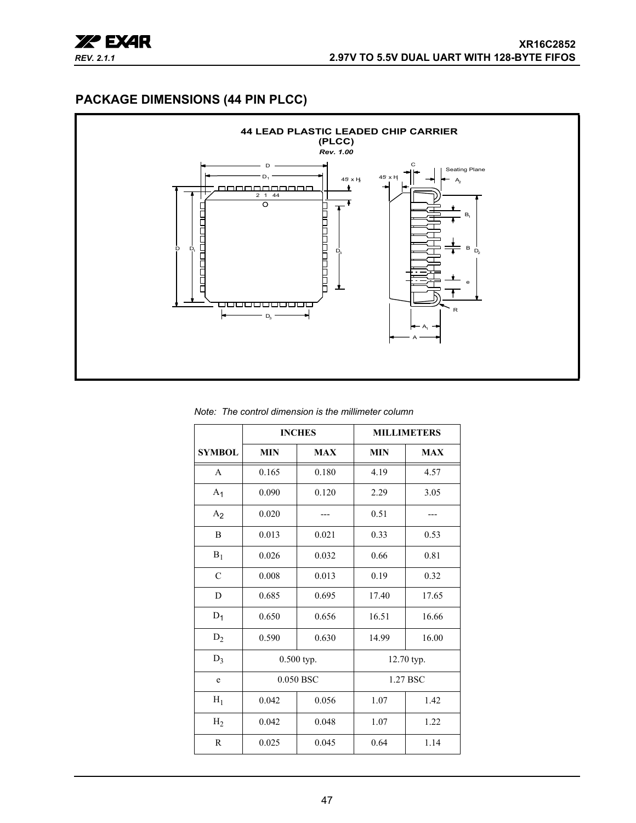

## <span id="page-46-0"></span>**PACKAGE DIMENSIONS (44 PIN PLCC)**



*Note: The control dimension is the millimeter column*

|                | <b>INCHES</b><br><b>MILLIMETERS</b> |            |            |            |  |
|----------------|-------------------------------------|------------|------------|------------|--|
| <b>SYMBOL</b>  | <b>MIN</b>                          | <b>MAX</b> | <b>MIN</b> | <b>MAX</b> |  |
| $\mathsf{A}$   | 0.165                               | 0.180      | 4.19       | 4.57       |  |
| A <sub>1</sub> | 0.090                               | 0.120      | 2.29       | 3.05       |  |
| A <sub>2</sub> | 0.020                               |            | 0.51       |            |  |
| B              | 0.013                               | 0.021      | 0.33       | 0.53       |  |
| $B_1$          | 0.026                               | 0.032      | 0.66       | 0.81       |  |
| $\mathcal{C}$  | 0.008                               | 0.013      | 0.19       | 0.32       |  |
| D              | 0.685                               | 0.695      | 17.40      | 17.65      |  |
| $D_1$          | 0.650                               | 0.656      | 16.51      | 16.66      |  |
| $D_2$          | 0.590                               | 0.630      | 14.99      | 16.00      |  |
| $D_3$          |                                     | 0.500 typ. | 12.70 typ. |            |  |
| e              |                                     | 0.050 BSC  |            | 1.27 BSC   |  |
| $H_1$          | 0.042                               | 0.056      | 1.07       | 1.42       |  |
| H <sub>2</sub> | 0.042                               | 0.048      | 1.07       | 1.22       |  |
| $\mathbb{R}$   | 0.025                               | 0.045      | 0.64       | 1.14       |  |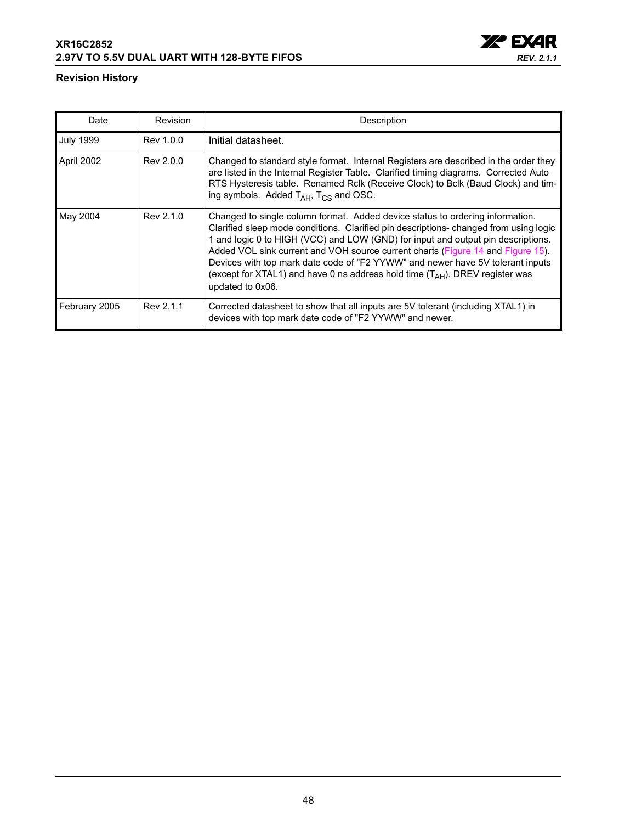## **XR16C2852 2.97V TO 5.5V DUAL UART WITH 128-BYTE FIFOS**



## **Revision History**

| Date             | <b>Revision</b> | Description                                                                                                                                                                                                                                                                                                                                                                                                                                                                                                                             |
|------------------|-----------------|-----------------------------------------------------------------------------------------------------------------------------------------------------------------------------------------------------------------------------------------------------------------------------------------------------------------------------------------------------------------------------------------------------------------------------------------------------------------------------------------------------------------------------------------|
| <b>July 1999</b> | Rev 1.0.0       | Initial datasheet.                                                                                                                                                                                                                                                                                                                                                                                                                                                                                                                      |
| April 2002       | Rev 2.0.0       | Changed to standard style format. Internal Registers are described in the order they<br>are listed in the Internal Register Table. Clarified timing diagrams. Corrected Auto<br>RTS Hysteresis table. Renamed Rclk (Receive Clock) to Bclk (Baud Clock) and tim-<br>ing symbols. Added $T_{AH}$ , $T_{CS}$ and OSC.                                                                                                                                                                                                                     |
| May 2004         | Rev 2.1.0       | Changed to single column format. Added device status to ordering information.<br>Clarified sleep mode conditions. Clarified pin descriptions-changed from using logic<br>1 and logic 0 to HIGH (VCC) and LOW (GND) for input and output pin descriptions.<br>Added VOL sink current and VOH source current charts (Figure 14 and Figure 15).<br>Devices with top mark date code of "F2 YYWW" and newer have 5V tolerant inputs<br>(except for XTAL1) and have 0 ns address hold time $(T_{AH})$ . DREV register was<br>updated to 0x06. |
| February 2005    | Rev 2.1.1       | Corrected datasheet to show that all inputs are 5V tolerant (including XTAL1) in<br>devices with top mark date code of "F2 YYWW" and newer.                                                                                                                                                                                                                                                                                                                                                                                             |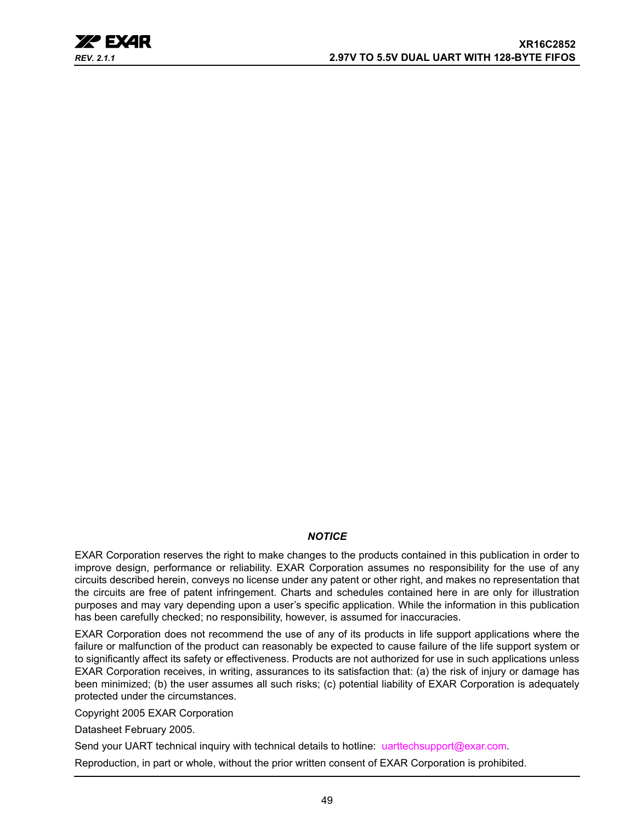

## *NOTICE*

EXAR Corporation reserves the right to make changes to the products contained in this publication in order to improve design, performance or reliability. EXAR Corporation assumes no responsibility for the use of any circuits described herein, conveys no license under any patent or other right, and makes no representation that the circuits are free of patent infringement. Charts and schedules contained here in are only for illustration purposes and may vary depending upon a user's specific application. While the information in this publication has been carefully checked; no responsibility, however, is assumed for inaccuracies.

EXAR Corporation does not recommend the use of any of its products in life support applications where the failure or malfunction of the product can reasonably be expected to cause failure of the life support system or to significantly affect its safety or effectiveness. Products are not authorized for use in such applications unless EXAR Corporation receives, in writing, assurances to its satisfaction that: (a) the risk of injury or damage has been minimized; (b) the user assumes all such risks; (c) potential liability of EXAR Corporation is adequately protected under the circumstances.

Copyright 2005 EXAR Corporation

Datasheet February 2005.

Send your UART technical inquiry with technical details to hotline: uarttechsupport@exar.com.

Reproduction, in part or whole, without the prior written consent of EXAR Corporation is prohibited.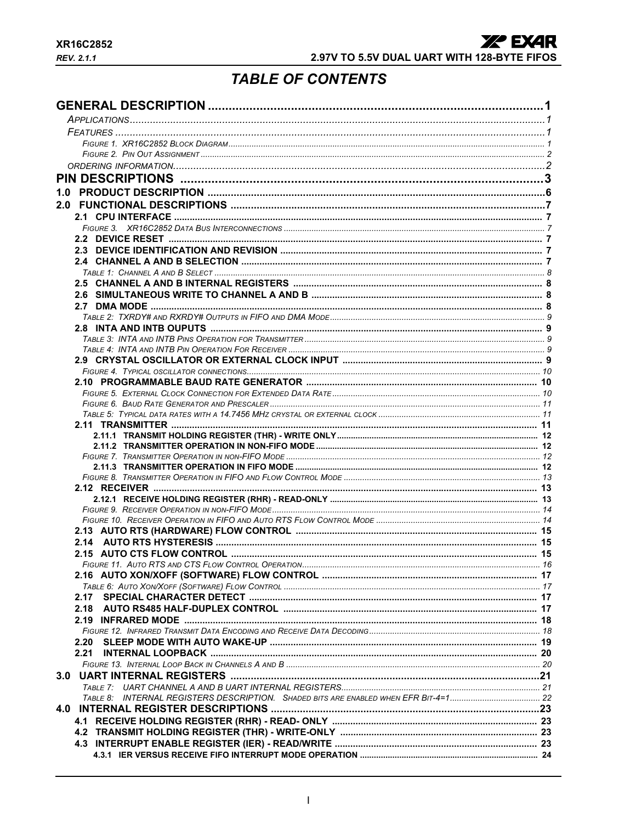# **TABLE OF CONTENTS**

<span id="page-49-0"></span>

| 1.0  |  |
|------|--|
|      |  |
|      |  |
|      |  |
|      |  |
|      |  |
|      |  |
|      |  |
|      |  |
|      |  |
|      |  |
|      |  |
|      |  |
|      |  |
|      |  |
|      |  |
|      |  |
|      |  |
|      |  |
|      |  |
|      |  |
|      |  |
|      |  |
|      |  |
|      |  |
|      |  |
|      |  |
|      |  |
|      |  |
|      |  |
|      |  |
|      |  |
|      |  |
|      |  |
|      |  |
|      |  |
| 2.17 |  |
|      |  |
|      |  |
|      |  |
| 2.20 |  |
| 2.21 |  |
|      |  |
|      |  |
|      |  |
|      |  |
|      |  |
|      |  |
|      |  |
|      |  |
|      |  |